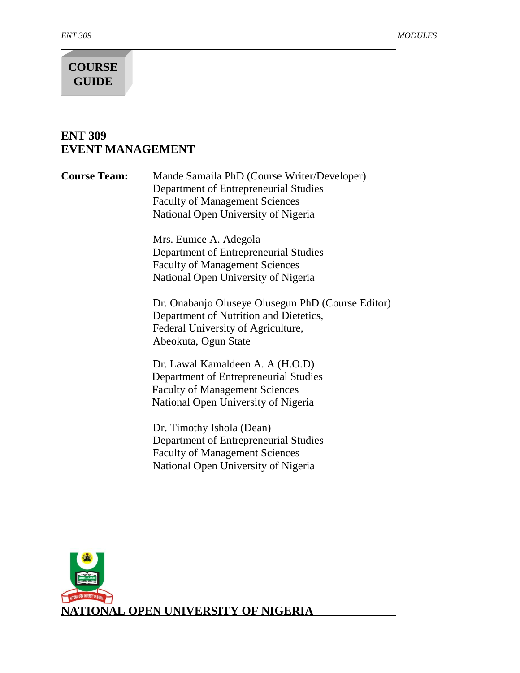# **COURSE GUIDE**

# **ENT 309 EVENT MANAGEMENT**

**Course Team:** Mande Samaila PhD (Course Writer/Developer) Department of Entrepreneurial Studies Faculty of Management Sciences National Open University of Nigeria

> Mrs. Eunice A. Adegola Department of Entrepreneurial Studies Faculty of Management Sciences National Open University of Nigeria

Dr. Onabanjo Oluseye Olusegun PhD (Course Editor) Department of Nutrition and Dietetics, Federal University of Agriculture, Abeokuta, Ogun State

Dr. Lawal Kamaldeen A. A (H.O.D) Department of Entrepreneurial Studies Faculty of Management Sciences National Open University of Nigeria

Dr. Timothy Ishola (Dean) Department of Entrepreneurial Studies Faculty of Management Sciences National Open University of Nigeria

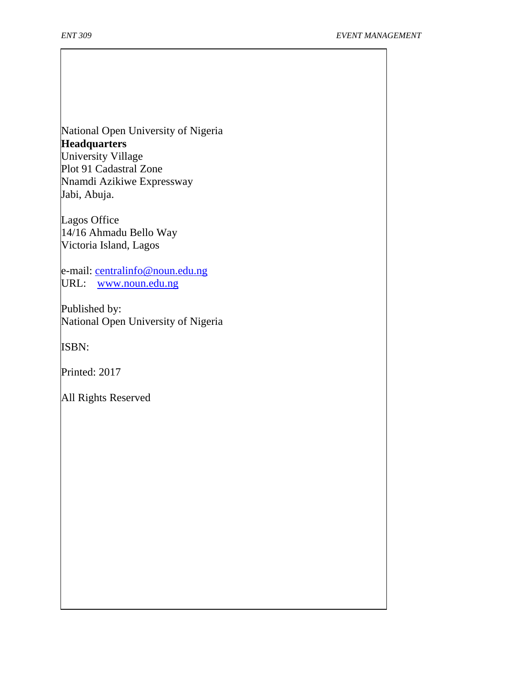National Open University of Nigeria **Headquarters** University Village Plot 91 Cadastral Zone Nnamdi Azikiwe Expressway

Jabi, Abuja.

Lagos Office 14/16 Ahmadu Bello Way Victoria Island, Lagos

e-mail: [centralinfo@noun.edu.ng](mailto:centralinfo@noun.edu.ng) URL: [www.noun.edu.ng](http://www.noun.edu.ng/)

Published by: National Open University of Nigeria

ISBN:

Printed: 2017

All Rights Reserved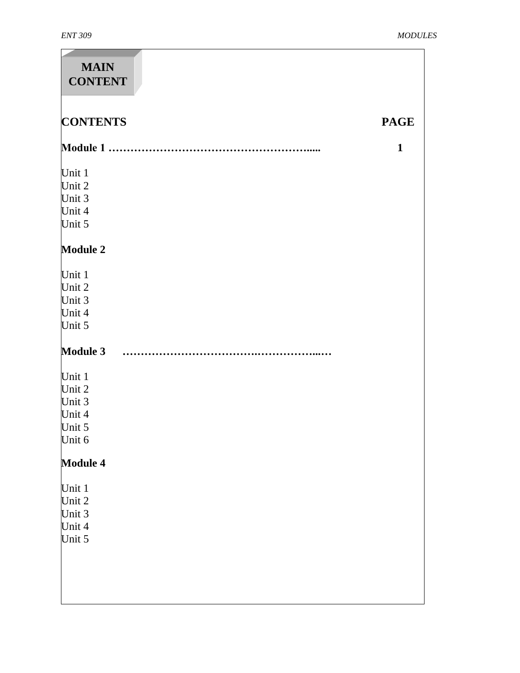| <b>MAIN</b><br><b>CONTENT</b> |              |
|-------------------------------|--------------|
| <b>CONTENTS</b>               | <b>PAGE</b>  |
|                               | $\mathbf{1}$ |
| Unit 1                        |              |
| Unit 2                        |              |
| Unit 3                        |              |
| Unit 4                        |              |
| Unit 5                        |              |
| <b>Module 2</b>               |              |
| Unit 1                        |              |
| Unit 2                        |              |
| Unit 3                        |              |
| Unit 4                        |              |
| Unit 5                        |              |
| <b>Module 3</b>               |              |
| Unit 1                        |              |
| Unit 2                        |              |
| Unit 3                        |              |
| Unit 4                        |              |
| Unit 5                        |              |
| Unit 6                        |              |
| <b>Module 4</b>               |              |
| Unit 1                        |              |
| Unit 2                        |              |
| Unit 3                        |              |
| Unit 4                        |              |
| Unit 5                        |              |
|                               |              |
|                               |              |
|                               |              |
|                               |              |
|                               |              |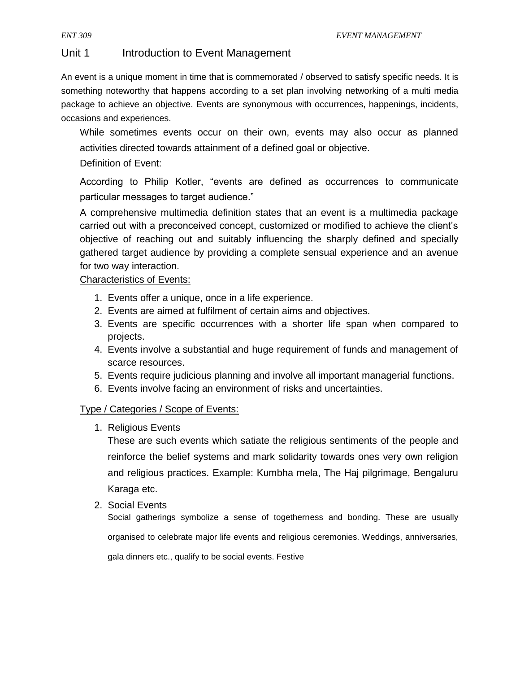# Unit 1 Introduction to Event Management

An event is a unique moment in time that is commemorated / observed to satisfy specific needs. It is something noteworthy that happens according to a set plan involving networking of a multi media package to achieve an objective. Events are synonymous with occurrences, happenings, incidents, occasions and experiences.

While sometimes events occur on their own, events may also occur as planned activities directed towards attainment of a defined goal or objective.

# Definition of Event:

According to Philip Kotler, "events are defined as occurrences to communicate particular messages to target audience."

A comprehensive multimedia definition states that an event is a multimedia package carried out with a preconceived concept, customized or modified to achieve the client's objective of reaching out and suitably influencing the sharply defined and specially gathered target audience by providing a complete sensual experience and an avenue for two way interaction.

# Characteristics of Events:

- 1. Events offer a unique, once in a life experience.
- 2. Events are aimed at fulfilment of certain aims and objectives.
- 3. Events are specific occurrences with a shorter life span when compared to projects.
- 4. Events involve a substantial and huge requirement of funds and management of scarce resources.
- 5. Events require judicious planning and involve all important managerial functions.
- 6. Events involve facing an environment of risks and uncertainties.

# Type / Categories / Scope of Events:

1. Religious Events

These are such events which satiate the religious sentiments of the people and reinforce the belief systems and mark solidarity towards ones very own religion and religious practices. Example: Kumbha mela, The Haj pilgrimage, Bengaluru Karaga etc.

2. Social Events

Social gatherings symbolize a sense of togetherness and bonding. These are usually organised to celebrate major life events and religious ceremonies. Weddings, anniversaries,

gala dinners etc., qualify to be social events. Festive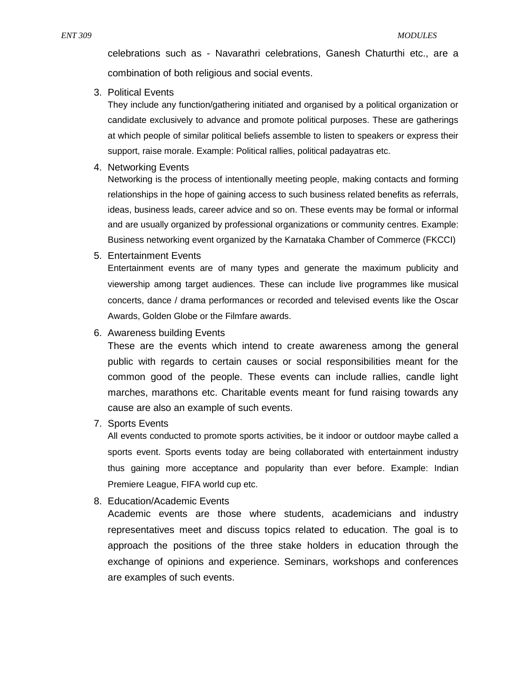celebrations such as - Navarathri celebrations, Ganesh Chaturthi etc., are a combination of both religious and social events.

3. Political Events

They include any function/gathering initiated and organised by a political organization or candidate exclusively to advance and promote political purposes. These are gatherings at which people of similar political beliefs assemble to listen to speakers or express their support, raise morale. Example: Political rallies, political padayatras etc.

4. Networking Events

Networking is the process of intentionally meeting people, making contacts and forming relationships in the hope of gaining access to such business related benefits as referrals, ideas, business leads, career advice and so on. These events may be formal or informal and are usually organized by professional organizations or community centres. Example: Business networking event organized by the Karnataka Chamber of Commerce (FKCCI)

5. Entertainment Events

Entertainment events are of many types and generate the maximum publicity and viewership among target audiences. These can include live programmes like musical concerts, dance / drama performances or recorded and televised events like the Oscar Awards, Golden Globe or the Filmfare awards.

6. Awareness building Events

These are the events which intend to create awareness among the general public with regards to certain causes or social responsibilities meant for the common good of the people. These events can include rallies, candle light marches, marathons etc. Charitable events meant for fund raising towards any cause are also an example of such events.

7. Sports Events

All events conducted to promote sports activities, be it indoor or outdoor maybe called a sports event. Sports events today are being collaborated with entertainment industry thus gaining more acceptance and popularity than ever before. Example: Indian Premiere League, FIFA world cup etc.

8. Education/Academic Events

Academic events are those where students, academicians and industry representatives meet and discuss topics related to education. The goal is to approach the positions of the three stake holders in education through the exchange of opinions and experience. Seminars, workshops and conferences are examples of such events.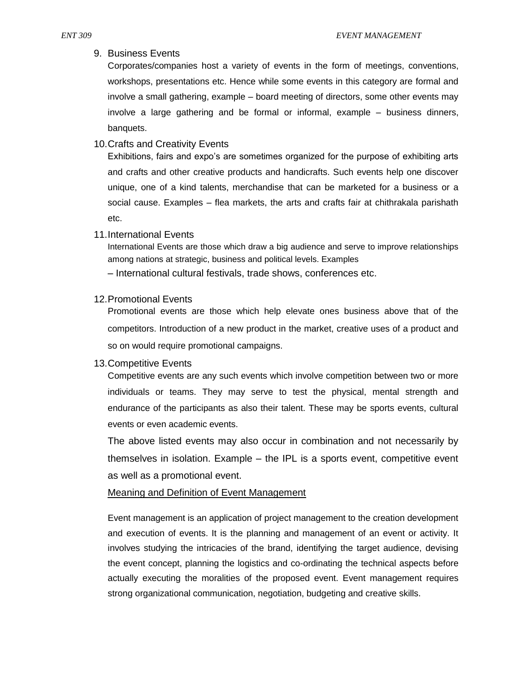## 9. Business Events

Corporates/companies host a variety of events in the form of meetings, conventions, workshops, presentations etc. Hence while some events in this category are formal and involve a small gathering, example – board meeting of directors, some other events may involve a large gathering and be formal or informal, example – business dinners, banquets.

# 10.Crafts and Creativity Events

Exhibitions, fairs and expo's are sometimes organized for the purpose of exhibiting arts and crafts and other creative products and handicrafts. Such events help one discover unique, one of a kind talents, merchandise that can be marketed for a business or a social cause. Examples – flea markets, the arts and crafts fair at chithrakala parishath etc.

## 11.International Events

International Events are those which draw a big audience and serve to improve relationships among nations at strategic, business and political levels. Examples

– International cultural festivals, trade shows, conferences etc.

## 12.Promotional Events

Promotional events are those which help elevate ones business above that of the competitors. Introduction of a new product in the market, creative uses of a product and so on would require promotional campaigns.

# 13.Competitive Events

Competitive events are any such events which involve competition between two or more individuals or teams. They may serve to test the physical, mental strength and endurance of the participants as also their talent. These may be sports events, cultural events or even academic events.

The above listed events may also occur in combination and not necessarily by themselves in isolation. Example – the IPL is a sports event, competitive event as well as a promotional event.

## Meaning and Definition of Event Management

Event management is an application of project management to the creation development and execution of events. It is the planning and management of an event or activity. It involves studying the intricacies of the brand, identifying the target audience, devising the event concept, planning the logistics and co-ordinating the technical aspects before actually executing the moralities of the proposed event. Event management requires strong organizational communication, negotiation, budgeting and creative skills.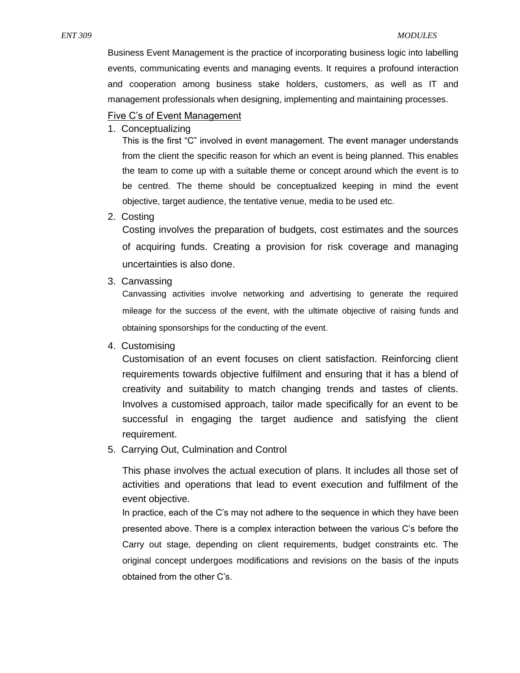Business Event Management is the practice of incorporating business logic into labelling events, communicating events and managing events. It requires a profound interaction and cooperation among business stake holders, customers, as well as IT and management professionals when designing, implementing and maintaining processes.

## Five C's of Event Management

1. Conceptualizing

This is the first "C" involved in event management. The event manager understands from the client the specific reason for which an event is being planned. This enables the team to come up with a suitable theme or concept around which the event is to be centred. The theme should be conceptualized keeping in mind the event objective, target audience, the tentative venue, media to be used etc.

2. Costing

Costing involves the preparation of budgets, cost estimates and the sources of acquiring funds. Creating a provision for risk coverage and managing uncertainties is also done.

3. Canvassing

Canvassing activities involve networking and advertising to generate the required mileage for the success of the event, with the ultimate objective of raising funds and obtaining sponsorships for the conducting of the event.

## 4. Customising

Customisation of an event focuses on client satisfaction. Reinforcing client requirements towards objective fulfilment and ensuring that it has a blend of creativity and suitability to match changing trends and tastes of clients. Involves a customised approach, tailor made specifically for an event to be successful in engaging the target audience and satisfying the client requirement.

5. Carrying Out, Culmination and Control

This phase involves the actual execution of plans. It includes all those set of activities and operations that lead to event execution and fulfilment of the event objective.

In practice, each of the C's may not adhere to the sequence in which they have been presented above. There is a complex interaction between the various C's before the Carry out stage, depending on client requirements, budget constraints etc. The original concept undergoes modifications and revisions on the basis of the inputs obtained from the other C's.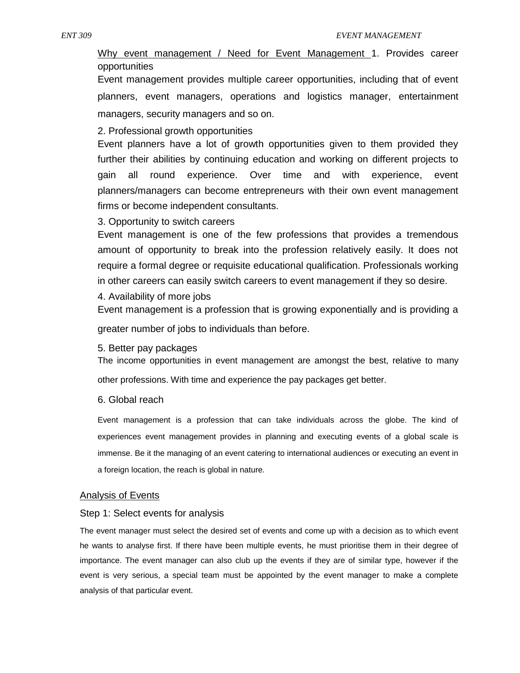Why event management / Need for Event Management 1. Provides career opportunities

Event management provides multiple career opportunities, including that of event planners, event managers, operations and logistics manager, entertainment managers, security managers and so on.

2. Professional growth opportunities

Event planners have a lot of growth opportunities given to them provided they further their abilities by continuing education and working on different projects to gain all round experience. Over time and with experience, event planners/managers can become entrepreneurs with their own event management firms or become independent consultants.

3. Opportunity to switch careers

Event management is one of the few professions that provides a tremendous amount of opportunity to break into the profession relatively easily. It does not require a formal degree or requisite educational qualification. Professionals working in other careers can easily switch careers to event management if they so desire.

4. Availability of more jobs

Event management is a profession that is growing exponentially and is providing a greater number of jobs to individuals than before.

5. Better pay packages

The income opportunities in event management are amongst the best, relative to many other professions. With time and experience the pay packages get better.

6. Global reach

Event management is a profession that can take individuals across the globe. The kind of experiences event management provides in planning and executing events of a global scale is immense. Be it the managing of an event catering to international audiences or executing an event in a foreign location, the reach is global in nature.

#### Analysis of Events

#### Step 1: Select events for analysis

The event manager must select the desired set of events and come up with a decision as to which event he wants to analyse first. If there have been multiple events, he must prioritise them in their degree of importance. The event manager can also club up the events if they are of similar type, however if the event is very serious, a special team must be appointed by the event manager to make a complete analysis of that particular event.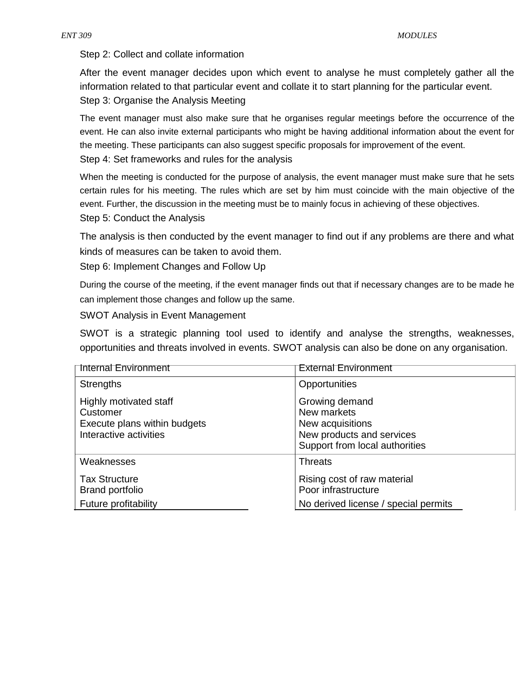Step 2: Collect and collate information

After the event manager decides upon which event to analyse he must completely gather all the information related to that particular event and collate it to start planning for the particular event. Step 3: Organise the Analysis Meeting

The event manager must also make sure that he organises regular meetings before the occurrence of the event. He can also invite external participants who might be having additional information about the event for the meeting. These participants can also suggest specific proposals for improvement of the event.

Step 4: Set frameworks and rules for the analysis

When the meeting is conducted for the purpose of analysis, the event manager must make sure that he sets certain rules for his meeting. The rules which are set by him must coincide with the main objective of the event. Further, the discussion in the meeting must be to mainly focus in achieving of these objectives.

Step 5: Conduct the Analysis

The analysis is then conducted by the event manager to find out if any problems are there and what kinds of measures can be taken to avoid them.

Step 6: Implement Changes and Follow Up

During the course of the meeting, if the event manager finds out that if necessary changes are to be made he can implement those changes and follow up the same.

SWOT Analysis in Event Management

SWOT is a strategic planning tool used to identify and analyse the strengths, weaknesses, opportunities and threats involved in events. SWOT analysis can also be done on any organisation.

| <b>Internal Environment</b>                                                                  | <b>External Environment</b>                                                                                      |
|----------------------------------------------------------------------------------------------|------------------------------------------------------------------------------------------------------------------|
| <b>Strengths</b>                                                                             | Opportunities                                                                                                    |
| Highly motivated staff<br>Customer<br>Execute plans within budgets<br>Interactive activities | Growing demand<br>New markets<br>New acquisitions<br>New products and services<br>Support from local authorities |
| Weaknesses<br><b>Tax Structure</b><br><b>Brand portfolio</b><br>Future profitability         | <b>Threats</b><br>Rising cost of raw material<br>Poor infrastructure<br>No derived license / special permits     |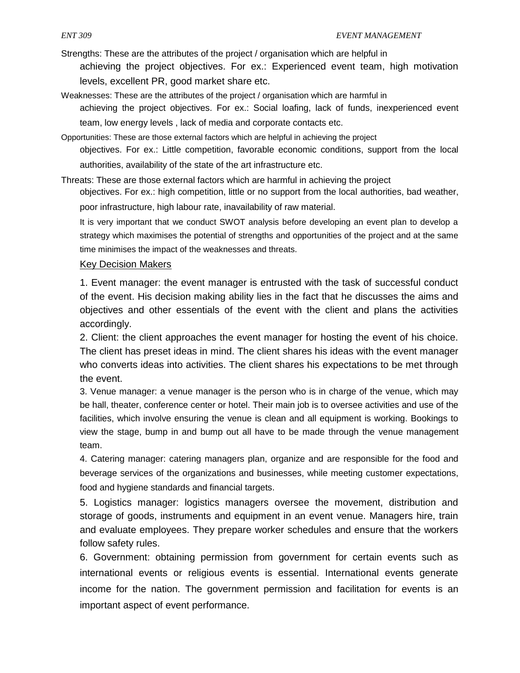Strengths: These are the attributes of the project / organisation which are helpful in achieving the project objectives. For ex.: Experienced event team, high motivation

levels, excellent PR, good market share etc.

Weaknesses: These are the attributes of the project / organisation which are harmful in

achieving the project objectives. For ex.: Social loafing, lack of funds, inexperienced event team, low energy levels , lack of media and corporate contacts etc.

Opportunities: These are those external factors which are helpful in achieving the project

objectives. For ex.: Little competition, favorable economic conditions, support from the local authorities, availability of the state of the art infrastructure etc.

Threats: These are those external factors which are harmful in achieving the project

objectives. For ex.: high competition, little or no support from the local authorities, bad weather,

poor infrastructure, high labour rate, inavailability of raw material.

It is very important that we conduct SWOT analysis before developing an event plan to develop a strategy which maximises the potential of strengths and opportunities of the project and at the same time minimises the impact of the weaknesses and threats.

# Key Decision Makers

1. Event manager: the event manager is entrusted with the task of successful conduct of the event. His decision making ability lies in the fact that he discusses the aims and objectives and other essentials of the event with the client and plans the activities accordingly.

2. Client: the client approaches the event manager for hosting the event of his choice. The client has preset ideas in mind. The client shares his ideas with the event manager who converts ideas into activities. The client shares his expectations to be met through the event.

3. Venue manager: a venue manager is the person who is in charge of the venue, which may be hall, theater, conference center or hotel. Their main job is to oversee activities and use of the facilities, which involve ensuring the venue is clean and all equipment is working. Bookings to view the stage, bump in and bump out all have to be made through the venue management team.

4. Catering manager: catering managers plan, organize and are responsible for the food and beverage services of the organizations and businesses, while meeting customer expectations, food and hygiene standards and financial targets.

5. Logistics manager: logistics managers oversee the movement, distribution and storage of goods, instruments and equipment in an event venue. Managers hire, train and evaluate employees. They prepare worker schedules and ensure that the workers follow safety rules.

6. Government: obtaining permission from government for certain events such as international events or religious events is essential. International events generate income for the nation. The government permission and facilitation for events is an important aspect of event performance.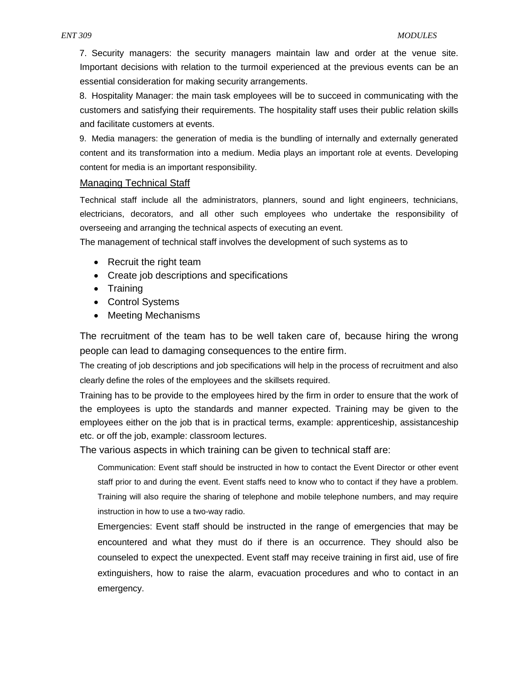7. Security managers: the security managers maintain law and order at the venue site. Important decisions with relation to the turmoil experienced at the previous events can be an essential consideration for making security arrangements.

8. Hospitality Manager: the main task employees will be to succeed in communicating with the customers and satisfying their requirements. The hospitality staff uses their public relation skills and facilitate customers at events.

9. Media managers: the generation of media is the bundling of internally and externally generated content and its transformation into a medium. Media plays an important role at events. Developing content for media is an important responsibility.

#### Managing Technical Staff

Technical staff include all the administrators, planners, sound and light engineers, technicians, electricians, decorators, and all other such employees who undertake the responsibility of overseeing and arranging the technical aspects of executing an event.

The management of technical staff involves the development of such systems as to

- Recruit the right team
- Create job descriptions and specifications
- Training
- Control Systems
- Meeting Mechanisms

The recruitment of the team has to be well taken care of, because hiring the wrong people can lead to damaging consequences to the entire firm.

The creating of job descriptions and job specifications will help in the process of recruitment and also clearly define the roles of the employees and the skillsets required.

Training has to be provide to the employees hired by the firm in order to ensure that the work of the employees is upto the standards and manner expected. Training may be given to the employees either on the job that is in practical terms, example: apprenticeship, assistanceship etc. or off the job, example: classroom lectures.

The various aspects in which training can be given to technical staff are:

Communication: Event staff should be instructed in how to contact the Event Director or other event staff prior to and during the event. Event staffs need to know who to contact if they have a problem. Training will also require the sharing of telephone and mobile telephone numbers, and may require instruction in how to use a two-way radio.

Emergencies: Event staff should be instructed in the range of emergencies that may be encountered and what they must do if there is an occurrence. They should also be counseled to expect the unexpected. Event staff may receive training in first aid, use of fire extinguishers, how to raise the alarm, evacuation procedures and who to contact in an emergency.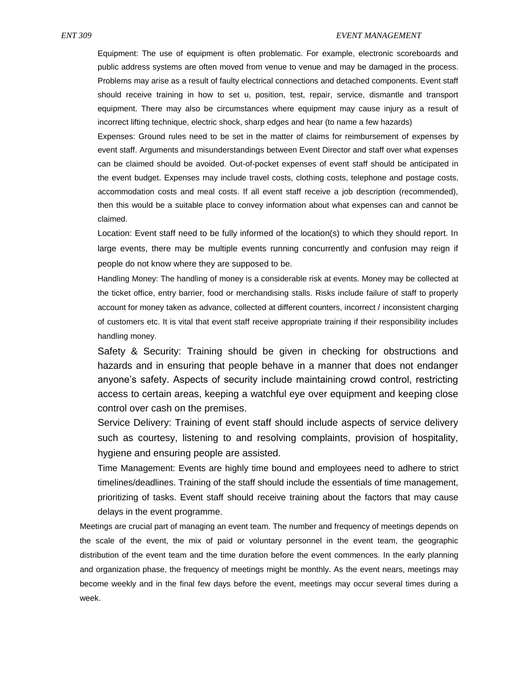Equipment: The use of equipment is often problematic. For example, electronic scoreboards and public address systems are often moved from venue to venue and may be damaged in the process. Problems may arise as a result of faulty electrical connections and detached components. Event staff should receive training in how to set u, position, test, repair, service, dismantle and transport equipment. There may also be circumstances where equipment may cause injury as a result of incorrect lifting technique, electric shock, sharp edges and hear (to name a few hazards)

Expenses: Ground rules need to be set in the matter of claims for reimbursement of expenses by event staff. Arguments and misunderstandings between Event Director and staff over what expenses can be claimed should be avoided. Out-of-pocket expenses of event staff should be anticipated in the event budget. Expenses may include travel costs, clothing costs, telephone and postage costs, accommodation costs and meal costs. If all event staff receive a job description (recommended), then this would be a suitable place to convey information about what expenses can and cannot be claimed.

Location: Event staff need to be fully informed of the location(s) to which they should report. In large events, there may be multiple events running concurrently and confusion may reign if people do not know where they are supposed to be.

Handling Money: The handling of money is a considerable risk at events. Money may be collected at the ticket office, entry barrier, food or merchandising stalls. Risks include failure of staff to properly account for money taken as advance, collected at different counters, incorrect / inconsistent charging of customers etc. It is vital that event staff receive appropriate training if their responsibility includes handling money.

Safety & Security: Training should be given in checking for obstructions and hazards and in ensuring that people behave in a manner that does not endanger anyone's safety. Aspects of security include maintaining crowd control, restricting access to certain areas, keeping a watchful eye over equipment and keeping close control over cash on the premises.

Service Delivery: Training of event staff should include aspects of service delivery such as courtesy, listening to and resolving complaints, provision of hospitality, hygiene and ensuring people are assisted.

Time Management: Events are highly time bound and employees need to adhere to strict timelines/deadlines. Training of the staff should include the essentials of time management, prioritizing of tasks. Event staff should receive training about the factors that may cause delays in the event programme.

Meetings are crucial part of managing an event team. The number and frequency of meetings depends on the scale of the event, the mix of paid or voluntary personnel in the event team, the geographic distribution of the event team and the time duration before the event commences. In the early planning and organization phase, the frequency of meetings might be monthly. As the event nears, meetings may become weekly and in the final few days before the event, meetings may occur several times during a week.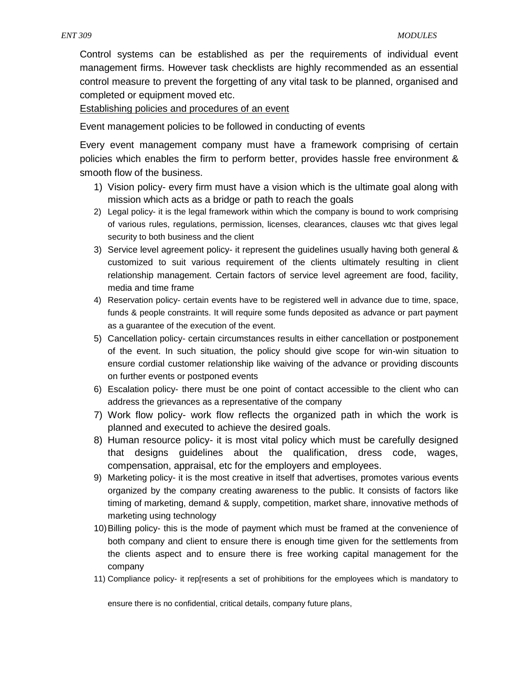Control systems can be established as per the requirements of individual event management firms. However task checklists are highly recommended as an essential control measure to prevent the forgetting of any vital task to be planned, organised and completed or equipment moved etc.

Establishing policies and procedures of an event

Event management policies to be followed in conducting of events

Every event management company must have a framework comprising of certain policies which enables the firm to perform better, provides hassle free environment & smooth flow of the business.

- 1) Vision policy- every firm must have a vision which is the ultimate goal along with mission which acts as a bridge or path to reach the goals
- 2) Legal policy- it is the legal framework within which the company is bound to work comprising of various rules, regulations, permission, licenses, clearances, clauses wtc that gives legal security to both business and the client
- 3) Service level agreement policy- it represent the guidelines usually having both general & customized to suit various requirement of the clients ultimately resulting in client relationship management. Certain factors of service level agreement are food, facility, media and time frame
- 4) Reservation policy- certain events have to be registered well in advance due to time, space, funds & people constraints. It will require some funds deposited as advance or part payment as a guarantee of the execution of the event.
- 5) Cancellation policy- certain circumstances results in either cancellation or postponement of the event. In such situation, the policy should give scope for win-win situation to ensure cordial customer relationship like waiving of the advance or providing discounts on further events or postponed events
- 6) Escalation policy- there must be one point of contact accessible to the client who can address the grievances as a representative of the company
- 7) Work flow policy- work flow reflects the organized path in which the work is planned and executed to achieve the desired goals.
- 8) Human resource policy- it is most vital policy which must be carefully designed that designs guidelines about the qualification, dress code, wages, compensation, appraisal, etc for the employers and employees.
- 9) Marketing policy- it is the most creative in itself that advertises, promotes various events organized by the company creating awareness to the public. It consists of factors like timing of marketing, demand & supply, competition, market share, innovative methods of marketing using technology
- 10)Billing policy- this is the mode of payment which must be framed at the convenience of both company and client to ensure there is enough time given for the settlements from the clients aspect and to ensure there is free working capital management for the company
- 11) Compliance policy- it rep[resents a set of prohibitions for the employees which is mandatory to

ensure there is no confidential, critical details, company future plans,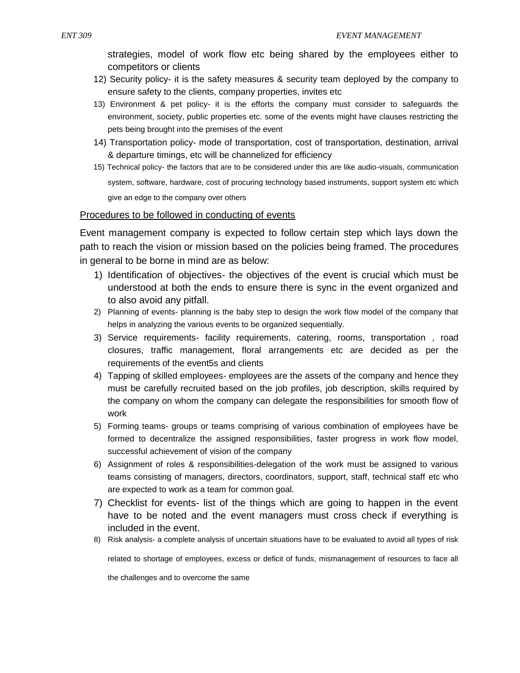strategies, model of work flow etc being shared by the employees either to competitors or clients

- 12) Security policy- it is the safety measures & security team deployed by the company to ensure safety to the clients, company properties, invites etc
- 13) Environment & pet policy- it is the efforts the company must consider to safeguards the environment, society, public properties etc. some of the events might have clauses restricting the pets being brought into the premises of the event
- 14) Transportation policy- mode of transportation, cost of transportation, destination, arrival & departure timings, etc will be channelized for efficiency
- 15) Technical policy- the factors that are to be considered under this are like audio-visuals, communication system, software, hardware, cost of procuring technology based instruments, support system etc which give an edge to the company over others

## Procedures to be followed in conducting of events

Event management company is expected to follow certain step which lays down the path to reach the vision or mission based on the policies being framed. The procedures in general to be borne in mind are as below:

- 1) Identification of objectives- the objectives of the event is crucial which must be understood at both the ends to ensure there is sync in the event organized and to also avoid any pitfall.
- 2) Planning of events- planning is the baby step to design the work flow model of the company that helps in analyzing the various events to be organized sequentially.
- 3) Service requirements- facility requirements, catering, rooms, transportation , road closures, traffic management, floral arrangements etc are decided as per the requirements of the event5s and clients
- 4) Tapping of skilled employees- employees are the assets of the company and hence they must be carefully recruited based on the job profiles, job description, skills required by the company on whom the company can delegate the responsibilities for smooth flow of work
- 5) Forming teams- groups or teams comprising of various combination of employees have be formed to decentralize the assigned responsibilities, faster progress in work flow model, successful achievement of vision of the company
- 6) Assignment of roles & responsibilities-delegation of the work must be assigned to various teams consisting of managers, directors, coordinators, support, staff, technical staff etc who are expected to work as a team for common goal.
- 7) Checklist for events- list of the things which are going to happen in the event have to be noted and the event managers must cross check if everything is included in the event.
- 8) Risk analysis- a complete analysis of uncertain situations have to be evaluated to avoid all types of risk

related to shortage of employees, excess or deficit of funds, mismanagement of resources to face all

the challenges and to overcome the same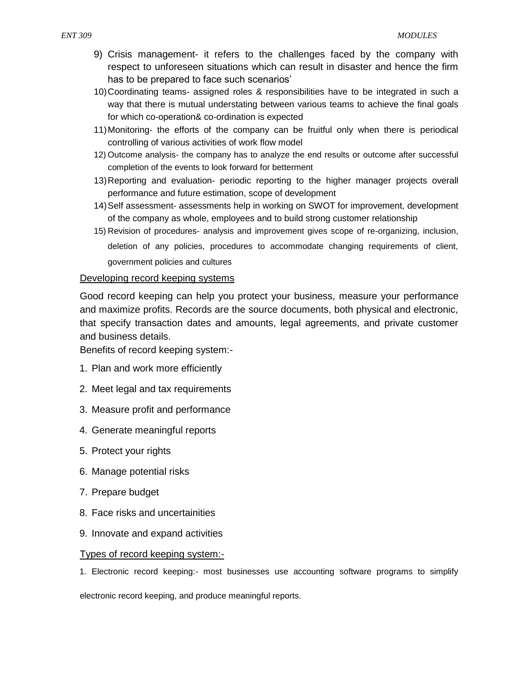- 9) Crisis management- it refers to the challenges faced by the company with respect to unforeseen situations which can result in disaster and hence the firm has to be prepared to face such scenarios'
- 10)Coordinating teams- assigned roles & responsibilities have to be integrated in such a way that there is mutual understating between various teams to achieve the final goals for which co-operation& co-ordination is expected
- 11)Monitoring- the efforts of the company can be fruitful only when there is periodical controlling of various activities of work flow model
- 12) Outcome analysis- the company has to analyze the end results or outcome after successful completion of the events to look forward for betterment
- 13)Reporting and evaluation- periodic reporting to the higher manager projects overall performance and future estimation, scope of development
- 14)Self assessment- assessments help in working on SWOT for improvement, development of the company as whole, employees and to build strong customer relationship
- 15) Revision of procedures- analysis and improvement gives scope of re-organizing, inclusion, deletion of any policies, procedures to accommodate changing requirements of client, government policies and cultures

# Developing record keeping systems

Good record keeping can help you protect your business, measure your performance and maximize profits. Records are the source documents, both physical and electronic, that specify transaction dates and amounts, legal agreements, and private customer and business details.

Benefits of record keeping system:-

- 1. Plan and work more efficiently
- 2. Meet legal and tax requirements
- 3. Measure profit and performance
- 4. Generate meaningful reports
- 5. Protect your rights
- 6. Manage potential risks
- 7. Prepare budget
- 8. Face risks and uncertainities
- 9. Innovate and expand activities

## Types of record keeping system:-

1. Electronic record keeping:- most businesses use accounting software programs to simplify

electronic record keeping, and produce meaningful reports.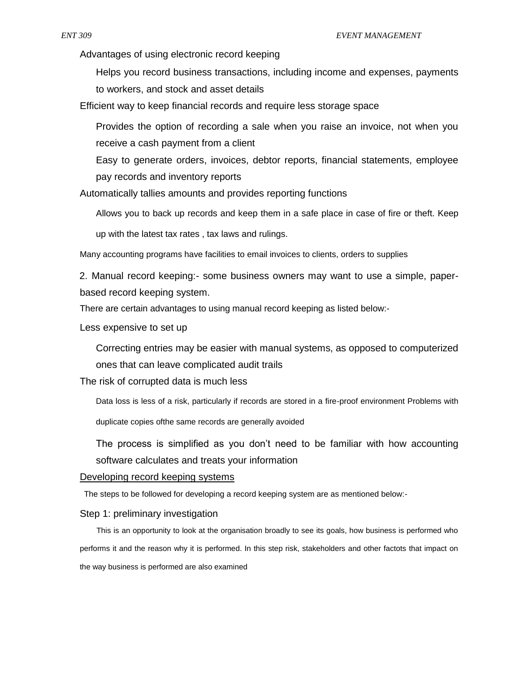Advantages of using electronic record keeping

Helps you record business transactions, including income and expenses, payments to workers, and stock and asset details

Efficient way to keep financial records and require less storage space

Provides the option of recording a sale when you raise an invoice, not when you receive a cash payment from a client

Easy to generate orders, invoices, debtor reports, financial statements, employee pay records and inventory reports

Automatically tallies amounts and provides reporting functions

Allows you to back up records and keep them in a safe place in case of fire or theft. Keep

up with the latest tax rates , tax laws and rulings.

Many accounting programs have facilities to email invoices to clients, orders to supplies

2. Manual record keeping:- some business owners may want to use a simple, paperbased record keeping system.

There are certain advantages to using manual record keeping as listed below:-

Less expensive to set up

Correcting entries may be easier with manual systems, as opposed to computerized ones that can leave complicated audit trails

The risk of corrupted data is much less

Data loss is less of a risk, particularly if records are stored in a fire-proof environment Problems with

duplicate copies ofthe same records are generally avoided

The process is simplified as you don't need to be familiar with how accounting software calculates and treats your information

#### Developing record keeping systems

The steps to be followed for developing a record keeping system are as mentioned below:-

#### Step 1: preliminary investigation

This is an opportunity to look at the organisation broadly to see its goals, how business is performed who performs it and the reason why it is performed. In this step risk, stakeholders and other factots that impact on the way business is performed are also examined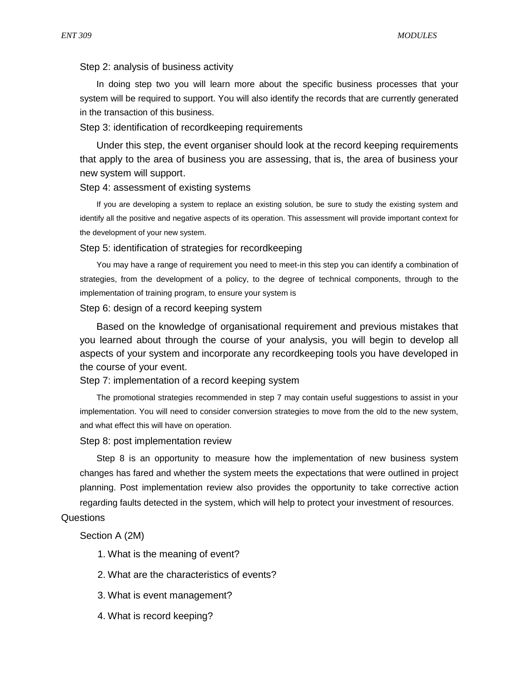#### Step 2: analysis of business activity

In doing step two you will learn more about the specific business processes that your system will be required to support. You will also identify the records that are currently generated in the transaction of this business.

#### Step 3: identification of recordkeeping requirements

Under this step, the event organiser should look at the record keeping requirements that apply to the area of business you are assessing, that is, the area of business your new system will support.

#### Step 4: assessment of existing systems

If you are developing a system to replace an existing solution, be sure to study the existing system and identify all the positive and negative aspects of its operation. This assessment will provide important context for the development of your new system.

#### Step 5: identification of strategies for recordkeeping

You may have a range of requirement you need to meet-in this step you can identify a combination of strategies, from the development of a policy, to the degree of technical components, through to the implementation of training program, to ensure your system is

#### Step 6: design of a record keeping system

Based on the knowledge of organisational requirement and previous mistakes that you learned about through the course of your analysis, you will begin to develop all aspects of your system and incorporate any recordkeeping tools you have developed in the course of your event.

#### Step 7: implementation of a record keeping system

The promotional strategies recommended in step 7 may contain useful suggestions to assist in your implementation. You will need to consider conversion strategies to move from the old to the new system, and what effect this will have on operation.

#### Step 8: post implementation review

Step 8 is an opportunity to measure how the implementation of new business system changes has fared and whether the system meets the expectations that were outlined in project planning. Post implementation review also provides the opportunity to take corrective action regarding faults detected in the system, which will help to protect your investment of resources.

#### **Questions**

Section A (2M)

1. What is the meaning of event?

- 2. What are the characteristics of events?
- 3. What is event management?
- 4. What is record keeping?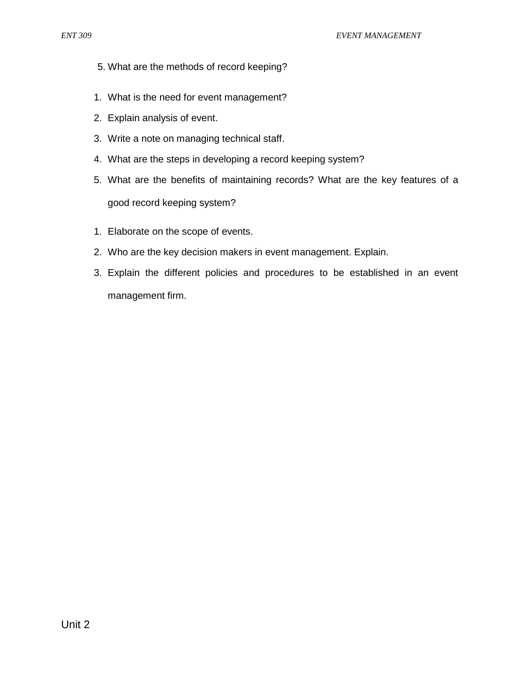- 5. What are the methods of record keeping?
- 1. What is the need for event management?
- 2. Explain analysis of event.
- 3. Write a note on managing technical staff.
- 4. What are the steps in developing a record keeping system?
- 5. What are the benefits of maintaining records? What are the key features of a good record keeping system?
- 1. Elaborate on the scope of events.
- 2. Who are the key decision makers in event management. Explain.
- 3. Explain the different policies and procedures to be established in an event management firm.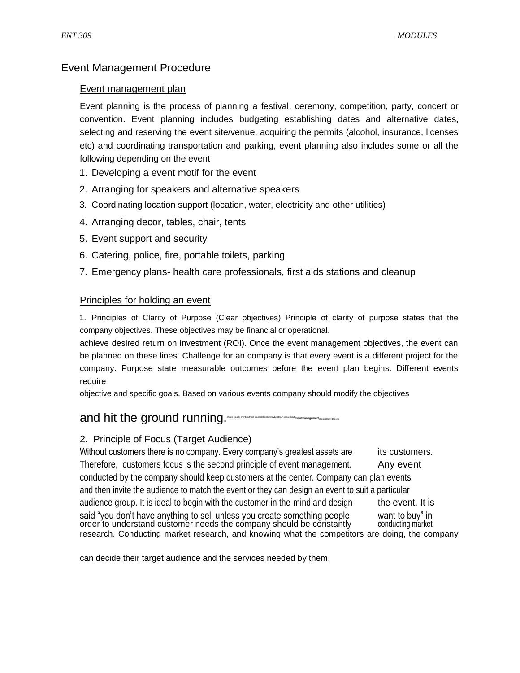# Event Management Procedure

## Event management plan

Event planning is the process of planning a festival, ceremony, competition, party, concert or convention. Event planning includes budgeting establishing dates and alternative dates, selecting and reserving the event site/venue, acquiring the permits (alcohol, insurance, licenses etc) and coordinating transportation and parking, event planning also includes some or all the following depending on the event

- 1. Developing a event motif for the event
- 2. Arranging for speakers and alternative speakers
- 3. Coordinating location support (location, water, electricity and other utilities)
- 4. Arranging decor, tables, chair, tents
- 5. Event support and security
- 6. Catering, police, fire, portable toilets, parking
- 7. Emergency plans- health care professionals, first aids stations and cleanup

# Principles for holding an event

1. Principles of Clarity of Purpose (Clear objectives) Principle of clarity of purpose states that the company objectives. These objectives may be financial or operational.

achieve desired return on investment (ROI). Once the event management objectives, the event can be planned on these lines. Challenge for an company is that every event is a different project for the company. Purpose state measurable outcomes before the event plan begins. Different events require

objective and specific goals. Based on various events company should modify the objectives

# and hit the ground running.

# 2. Principle of Focus (Target Audience)

Without customers there is no company. Every company's greatest assets are its customers. Therefore, customers focus is the second principle of event management. Any event conducted by the company should keep customers at the center. Company can plan events and then invite the audience to match the event or they can design an event to suit a particular audience group. It is ideal to begin with the customer in the mind and design the event. It is said "you don't have anything to sell unless you create something people want to buy" in order to understand customer needs the company should be constantly conducting market research. Conducting market research, and knowing what the competitors are doing, the company

can decide their target audience and the services needed by them.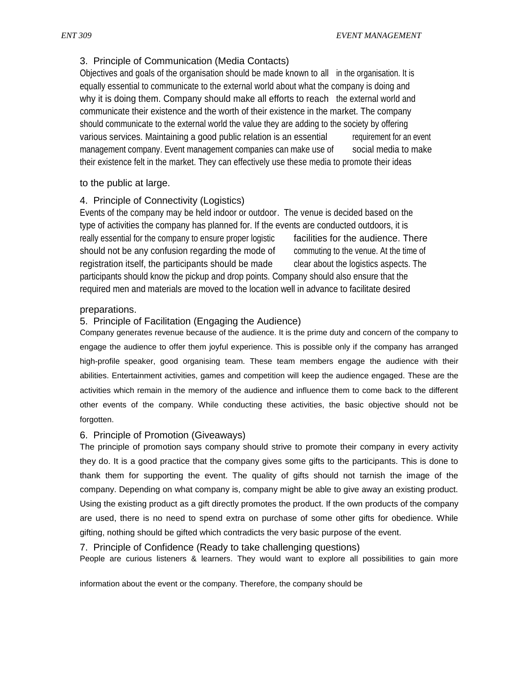# 3. Principle of Communication (Media Contacts)

Objectives and goals of the organisation should be made known to all in the organisation. It is equally essential to communicate to the external world about what the company is doing and why it is doing them. Company should make all efforts to reach the external world and communicate their existence and the worth of their existence in the market. The company should communicate to the external world the value they are adding to the society by offering various services. Maintaining a good public relation is an essential requirement for an event management company. Event management companies can make use of social media to make their existence felt in the market. They can effectively use these media to promote their ideas

## to the public at large.

# 4. Principle of Connectivity (Logistics)

Events of the company may be held indoor or outdoor. The venue is decided based on the type of activities the company has planned for. If the events are conducted outdoors, it is really essential for the company to ensure proper logistic facilities for the audience. There should not be any confusion regarding the mode of commuting to the venue. At the time of registration itself, the participants should be made clear about the logistics aspects. The participants should know the pickup and drop points. Company should also ensure that the required men and materials are moved to the location well in advance to facilitate desired

## preparations.

## 5. Principle of Facilitation (Engaging the Audience)

Company generates revenue because of the audience. It is the prime duty and concern of the company to engage the audience to offer them joyful experience. This is possible only if the company has arranged high-profile speaker, good organising team. These team members engage the audience with their abilities. Entertainment activities, games and competition will keep the audience engaged. These are the activities which remain in the memory of the audience and influence them to come back to the different other events of the company. While conducting these activities, the basic objective should not be forgotten.

## 6. Principle of Promotion (Giveaways)

The principle of promotion says company should strive to promote their company in every activity they do. It is a good practice that the company gives some gifts to the participants. This is done to thank them for supporting the event. The quality of gifts should not tarnish the image of the company. Depending on what company is, company might be able to give away an existing product. Using the existing product as a gift directly promotes the product. If the own products of the company are used, there is no need to spend extra on purchase of some other gifts for obedience. While gifting, nothing should be gifted which contradicts the very basic purpose of the event.

7. Principle of Confidence (Ready to take challenging questions)

People are curious listeners & learners. They would want to explore all possibilities to gain more

information about the event or the company. Therefore, the company should be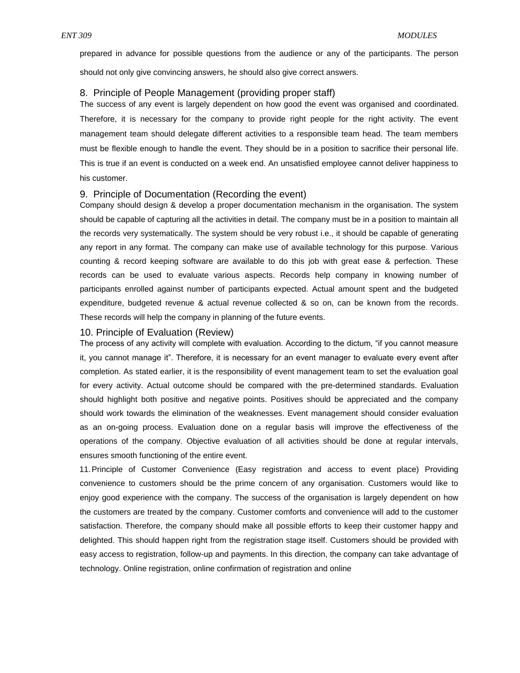prepared in advance for possible questions from the audience or any of the participants. The person should not only give convincing answers, he should also give correct answers.

#### 8. Principle of People Management (providing proper staff)

The success of any event is largely dependent on how good the event was organised and coordinated. Therefore, it is necessary for the company to provide right people for the right activity. The event management team should delegate different activities to a responsible team head. The team members must be flexible enough to handle the event. They should be in a position to sacrifice their personal life. This is true if an event is conducted on a week end. An unsatisfied employee cannot deliver happiness to his customer.

#### 9. Principle of Documentation (Recording the event)

Company should design & develop a proper documentation mechanism in the organisation. The system should be capable of capturing all the activities in detail. The company must be in a position to maintain all the records very systematically. The system should be very robust i.e., it should be capable of generating any report in any format. The company can make use of available technology for this purpose. Various counting & record keeping software are available to do this job with great ease & perfection. These records can be used to evaluate various aspects. Records help company in knowing number of participants enrolled against number of participants expected. Actual amount spent and the budgeted expenditure, budgeted revenue & actual revenue collected & so on, can be known from the records. These records will help the company in planning of the future events.

#### 10. Principle of Evaluation (Review)

The process of any activity will complete with evaluation. According to the dictum, "if you cannot measure it, you cannot manage it". Therefore, it is necessary for an event manager to evaluate every event after completion. As stated earlier, it is the responsibility of event management team to set the evaluation goal for every activity. Actual outcome should be compared with the pre-determined standards. Evaluation should highlight both positive and negative points. Positives should be appreciated and the company should work towards the elimination of the weaknesses. Event management should consider evaluation as an on-going process. Evaluation done on a regular basis will improve the effectiveness of the operations of the company. Objective evaluation of all activities should be done at regular intervals, ensures smooth functioning of the entire event.

11.Principle of Customer Convenience (Easy registration and access to event place) Providing convenience to customers should be the prime concern of any organisation. Customers would like to enjoy good experience with the company. The success of the organisation is largely dependent on how the customers are treated by the company. Customer comforts and convenience will add to the customer satisfaction. Therefore, the company should make all possible efforts to keep their customer happy and delighted. This should happen right from the registration stage itself. Customers should be provided with easy access to registration, follow-up and payments. In this direction, the company can take advantage of technology. Online registration, online confirmation of registration and online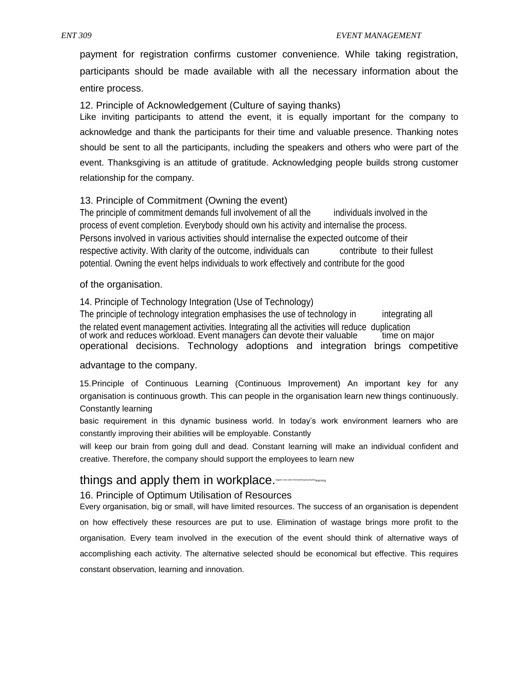payment for registration confirms customer convenience. While taking registration, participants should be made available with all the necessary information about the entire process.

12. Principle of Acknowledgement (Culture of saying thanks)

Like inviting participants to attend the event, it is equally important for the company to acknowledge and thank the participants for their time and valuable presence. Thanking notes should be sent to all the participants, including the speakers and others who were part of the event. Thanksgiving is an attitude of gratitude. Acknowledging people builds strong customer relationship for the company.

## 13. Principle of Commitment (Owning the event)

The principle of commitment demands full involvement of all the individuals involved in the process of event completion. Everybody should own his activity and internalise the process. Persons involved in various activities should internalise the expected outcome of their respective activity. With clarity of the outcome, individuals can contribute to their fullest potential. Owning the event helps individuals to work effectively and contribute for the good

of the organisation.

14. Principle of Technology Integration (Use of Technology)

The principle of technology integration emphasises the use of technology in integrating all the related event management activities. Integrating all the activities will reduce duplication of work and reduces workload. Event managers can devote their valuable time on major operational decisions. Technology adoptions and integration brings competitive

#### advantage to the company.

15.Principle of Continuous Learning (Continuous Improvement) An important key for any organisation is continuous growth. This can people in the organisation learn new things continuously. Constantly learning

basic requirement in this dynamic business world. In today's work environment learners who are constantly improving their abilities will be employable. Constantly

will keep our brain from going dull and dead. Constant learning will make an individual confident and creative. Therefore, the company should support the employees to learn new

# things and apply them in workplace. $\blacksquare$

## 16. Principle of Optimum Utilisation of Resources

Every organisation, big or small, will have limited resources. The success of an organisation is dependent on how effectively these resources are put to use. Elimination of wastage brings more profit to the organisation. Every team involved in the execution of the event should think of alternative ways of accomplishing each activity. The alternative selected should be economical but effective. This requires constant observation, learning and innovation.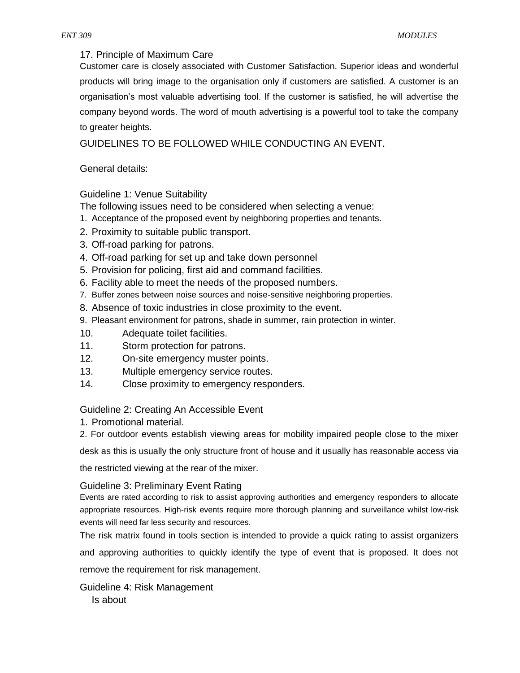## 17. Principle of Maximum Care

Customer care is closely associated with Customer Satisfaction. Superior ideas and wonderful products will bring image to the organisation only if customers are satisfied. A customer is an organisation's most valuable advertising tool. If the customer is satisfied, he will advertise the company beyond words. The word of mouth advertising is a powerful tool to take the company to greater heights.

GUIDELINES TO BE FOLLOWED WHILE CONDUCTING AN EVENT.

# General details:

# Guideline 1: Venue Suitability

- The following issues need to be considered when selecting a venue:
- 1. Acceptance of the proposed event by neighboring properties and tenants.
- 2. Proximity to suitable public transport.
- 3. Off-road parking for patrons.
- 4. Off-road parking for set up and take down personnel
- 5. Provision for policing, first aid and command facilities.
- 6. Facility able to meet the needs of the proposed numbers.
- 7. Buffer zones between noise sources and noise-sensitive neighboring properties.
- 8. Absence of toxic industries in close proximity to the event.
- 9. Pleasant environment for patrons, shade in summer, rain protection in winter.
- 10. Adequate toilet facilities.
- 11. Storm protection for patrons.
- 12. On-site emergency muster points.
- 13. Multiple emergency service routes.
- 14. Close proximity to emergency responders.

## Guideline 2: Creating An Accessible Event

- 1. Promotional material.
- 2. For outdoor events establish viewing areas for mobility impaired people close to the mixer

desk as this is usually the only structure front of house and it usually has reasonable access via

the restricted viewing at the rear of the mixer.

## Guideline 3: Preliminary Event Rating

Events are rated according to risk to assist approving authorities and emergency responders to allocate appropriate resources. High-risk events require more thorough planning and surveillance whilst low-risk events will need far less security and resources.

The risk matrix found in tools section is intended to provide a quick rating to assist organizers

and approving authorities to quickly identify the type of event that is proposed. It does not remove the requirement for risk management.

Guideline 4: Risk Management Is about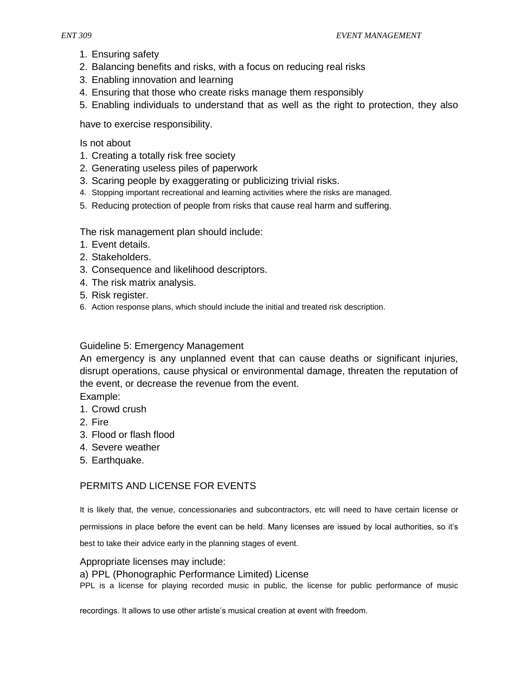- 1. Ensuring safety
- 2. Balancing benefits and risks, with a focus on reducing real risks
- 3. Enabling innovation and learning
- 4. Ensuring that those who create risks manage them responsibly
- 5. Enabling individuals to understand that as well as the right to protection, they also

have to exercise responsibility.

Is not about

- 1. Creating a totally risk free society
- 2. Generating useless piles of paperwork
- 3. Scaring people by exaggerating or publicizing trivial risks.
- 4. Stopping important recreational and learning activities where the risks are managed.
- 5. Reducing protection of people from risks that cause real harm and suffering.

The risk management plan should include:

- 1. Event details.
- 2. Stakeholders.
- 3. Consequence and likelihood descriptors.
- 4. The risk matrix analysis.
- 5. Risk register.
- 6. Action response plans, which should include the initial and treated risk description.

# Guideline 5: Emergency Management

An emergency is any unplanned event that can cause deaths or significant injuries, disrupt operations, cause physical or environmental damage, threaten the reputation of the event, or decrease the revenue from the event.

Example:

- 1. Crowd crush
- 2. Fire
- 3. Flood or flash flood
- 4. Severe weather
- 5. Earthquake.

# PERMITS AND LICENSE FOR EVENTS

It is likely that, the venue, concessionaries and subcontractors, etc will need to have certain license or

permissions in place before the event can be held. Many licenses are issued by local authorities, so it's

best to take their advice early in the planning stages of event.

## Appropriate licenses may include:

a) PPL (Phonographic Performance Limited) License

PPL is a license for playing recorded music in public, the license for public performance of music

recordings. It allows to use other artiste's musical creation at event with freedom.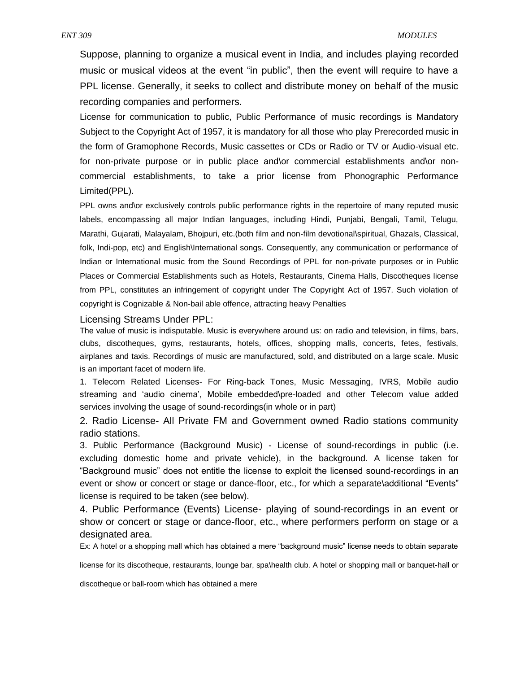Suppose, planning to organize a musical event in India, and includes playing recorded music or musical videos at the event "in public", then the event will require to have a PPL license. Generally, it seeks to collect and distribute money on behalf of the music recording companies and performers.

License for communication to public, Public Performance of music recordings is Mandatory Subject to the Copyright Act of 1957, it is mandatory for all those who play Prerecorded music in the form of Gramophone Records, Music cassettes or CDs or Radio or TV or Audio-visual etc. for non-private purpose or in public place and\or commercial establishments and\or noncommercial establishments, to take a prior license from Phonographic Performance Limited(PPL).

PPL owns and\or exclusively controls public performance rights in the repertoire of many reputed music labels, encompassing all major Indian languages, including Hindi, Punjabi, Bengali, Tamil, Telugu, Marathi, Gujarati, Malayalam, Bhojpuri, etc.(both film and non-film devotional\spiritual, Ghazals, Classical, folk, Indi-pop, etc) and English\International songs. Consequently, any communication or performance of Indian or International music from the Sound Recordings of PPL for non-private purposes or in Public Places or Commercial Establishments such as Hotels, Restaurants, Cinema Halls, Discotheques license from PPL, constitutes an infringement of copyright under The Copyright Act of 1957. Such violation of copyright is Cognizable & Non-bail able offence, attracting heavy Penalties

#### Licensing Streams Under PPL:

The value of music is indisputable. Music is everywhere around us: on radio and television, in films, bars, clubs, discotheques, gyms, restaurants, hotels, offices, shopping malls, concerts, fetes, festivals, airplanes and taxis. Recordings of music are manufactured, sold, and distributed on a large scale. Music is an important facet of modern life.

1. Telecom Related Licenses- For Ring-back Tones, Music Messaging, IVRS, Mobile audio streaming and 'audio cinema', Mobile embedded\pre-loaded and other Telecom value added services involving the usage of sound-recordings(in whole or in part)

2. Radio License- All Private FM and Government owned Radio stations community radio stations.

3. Public Performance (Background Music) - License of sound-recordings in public (i.e. excluding domestic home and private vehicle), in the background. A license taken for "Background music" does not entitle the license to exploit the licensed sound-recordings in an event or show or concert or stage or dance-floor, etc., for which a separate\additional "Events" license is required to be taken (see below).

4. Public Performance (Events) License- playing of sound-recordings in an event or show or concert or stage or dance-floor, etc., where performers perform on stage or a designated area.

Ex: A hotel or a shopping mall which has obtained a mere "background music" license needs to obtain separate

license for its discotheque, restaurants, lounge bar, spa\health club. A hotel or shopping mall or banquet-hall or

discotheque or ball-room which has obtained a mere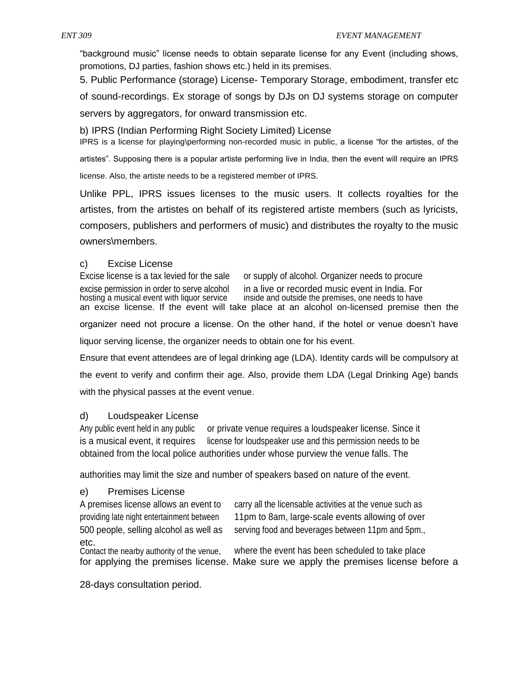"background music" license needs to obtain separate license for any Event (including shows, promotions, DJ parties, fashion shows etc.) held in its premises.

5. Public Performance (storage) License- Temporary Storage, embodiment, transfer etc of sound-recordings. Ex storage of songs by DJs on DJ systems storage on computer servers by aggregators, for onward transmission etc.

b) IPRS (Indian Performing Right Society Limited) License

IPRS is a license for playing\performing non-recorded music in public, a license "for the artistes, of the artistes". Supposing there is a popular artiste performing live in India, then the event will require an IPRS license. Also, the artiste needs to be a registered member of IPRS.

Unlike PPL, IPRS issues licenses to the music users. It collects royalties for the artistes, from the artistes on behalf of its registered artiste members (such as lyricists, composers, publishers and performers of music) and distributes the royalty to the music owners\members.

## c) Excise License

Excise license is a tax levied for the sale or supply of alcohol. Organizer needs to procure excise permission in order to serve alcohol in a live or recorded music event in India. For hosting a musical event with liquor service inside and outside the premises, one needs to have inside and outside the premises, one needs to have an excise license. If the event will take place at an alcohol on-licensed premise then the organizer need not procure a license. On the other hand, if the hotel or venue doesn't have liquor serving license, the organizer needs to obtain one for his event. Ensure that event attendees are of legal drinking age (LDA). Identity cards will be compulsory at the event to verify and confirm their age. Also, provide them LDA (Legal Drinking Age) bands

with the physical passes at the event venue.

## d) Loudspeaker License

Any public event held in any public or private venue requires a loudspeaker license. Since it is a musical event, it requires license for loudspeaker use and this permission needs to be obtained from the local police authorities under whose purview the venue falls. The

authorities may limit the size and number of speakers based on nature of the event.

# e) Premises License

A premises license allows an event to carry all the licensable activities at the venue such as providing late night entertainment between 11pm to 8am, large-scale events allowing of over 500 people, selling alcohol as well as serving food and beverages between 11pm and 5pm., etc.<br>Contact the nearby authority of the venue,

where the event has been scheduled to take place. for applying the premises license. Make sure we apply the premises license before a

28-days consultation period.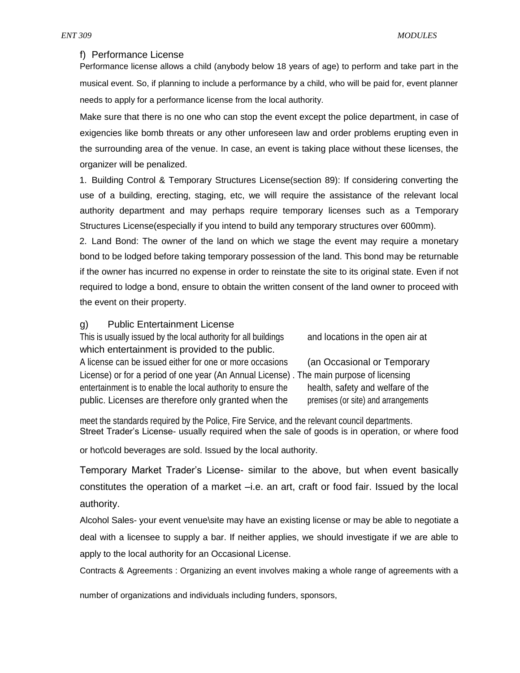#### f) Performance License

Performance license allows a child (anybody below 18 years of age) to perform and take part in the musical event. So, if planning to include a performance by a child, who will be paid for, event planner needs to apply for a performance license from the local authority.

Make sure that there is no one who can stop the event except the police department, in case of exigencies like bomb threats or any other unforeseen law and order problems erupting even in the surrounding area of the venue. In case, an event is taking place without these licenses, the organizer will be penalized.

1. Building Control & Temporary Structures License(section 89): If considering converting the use of a building, erecting, staging, etc, we will require the assistance of the relevant local authority department and may perhaps require temporary licenses such as a Temporary Structures License(especially if you intend to build any temporary structures over 600mm).

2. Land Bond: The owner of the land on which we stage the event may require a monetary bond to be lodged before taking temporary possession of the land. This bond may be returnable if the owner has incurred no expense in order to reinstate the site to its original state. Even if not required to lodge a bond, ensure to obtain the written consent of the land owner to proceed with the event on their property.

#### g) Public Entertainment License

This is usually issued by the local authority for all buildings and locations in the open air at which entertainment is provided to the public. A license can be issued either for one or more occasions (an Occasional or Temporary License) or for a period of one year (An Annual License) . The main purpose of licensing entertainment is to enable the local authority to ensure the health, safety and welfare of the public. Licenses are therefore only granted when the premises (or site) and arrangements

meet the standards required by the Police, Fire Service, and the relevant council departments. Street Trader's License- usually required when the sale of goods is in operation, or where food

or hot\cold beverages are sold. Issued by the local authority.

Temporary Market Trader's License- similar to the above, but when event basically constitutes the operation of a market –i.e. an art, craft or food fair. Issued by the local authority.

Alcohol Sales- your event venue\site may have an existing license or may be able to negotiate a deal with a licensee to supply a bar. If neither applies, we should investigate if we are able to apply to the local authority for an Occasional License.

Contracts & Agreements : Organizing an event involves making a whole range of agreements with a

number of organizations and individuals including funders, sponsors,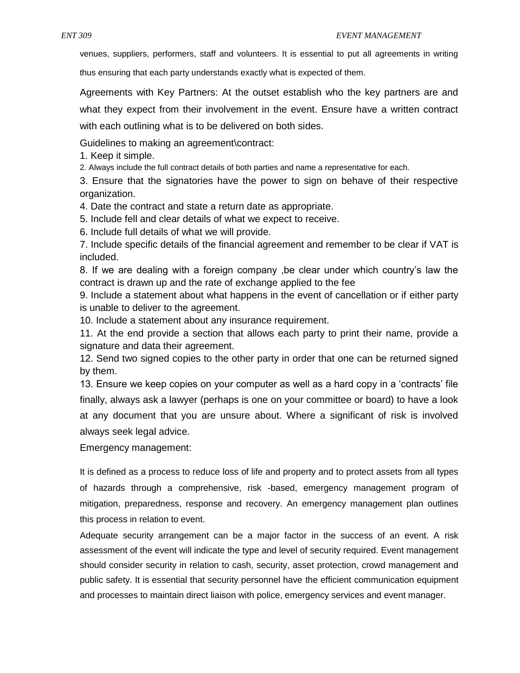venues, suppliers, performers, staff and volunteers. It is essential to put all agreements in writing

thus ensuring that each party understands exactly what is expected of them.

Agreements with Key Partners: At the outset establish who the key partners are and what they expect from their involvement in the event. Ensure have a written contract with each outlining what is to be delivered on both sides.

Guidelines to making an agreement\contract:

1. Keep it simple.

2. Always include the full contract details of both parties and name a representative for each.

3. Ensure that the signatories have the power to sign on behave of their respective organization.

4. Date the contract and state a return date as appropriate.

5. Include fell and clear details of what we expect to receive.

6. Include full details of what we will provide.

7. Include specific details of the financial agreement and remember to be clear if VAT is included.

8. If we are dealing with a foreign company ,be clear under which country's law the contract is drawn up and the rate of exchange applied to the fee

9. Include a statement about what happens in the event of cancellation or if either party is unable to deliver to the agreement.

10. Include a statement about any insurance requirement.

11. At the end provide a section that allows each party to print their name, provide a signature and data their agreement.

12. Send two signed copies to the other party in order that one can be returned signed by them.

13. Ensure we keep copies on your computer as well as a hard copy in a 'contracts' file finally, always ask a lawyer (perhaps is one on your committee or board) to have a look at any document that you are unsure about. Where a significant of risk is involved always seek legal advice.

Emergency management:

It is defined as a process to reduce loss of life and property and to protect assets from all types of hazards through a comprehensive, risk -based, emergency management program of mitigation, preparedness, response and recovery. An emergency management plan outlines this process in relation to event.

Adequate security arrangement can be a major factor in the success of an event. A risk assessment of the event will indicate the type and level of security required. Event management should consider security in relation to cash, security, asset protection, crowd management and public safety. It is essential that security personnel have the efficient communication equipment and processes to maintain direct liaison with police, emergency services and event manager.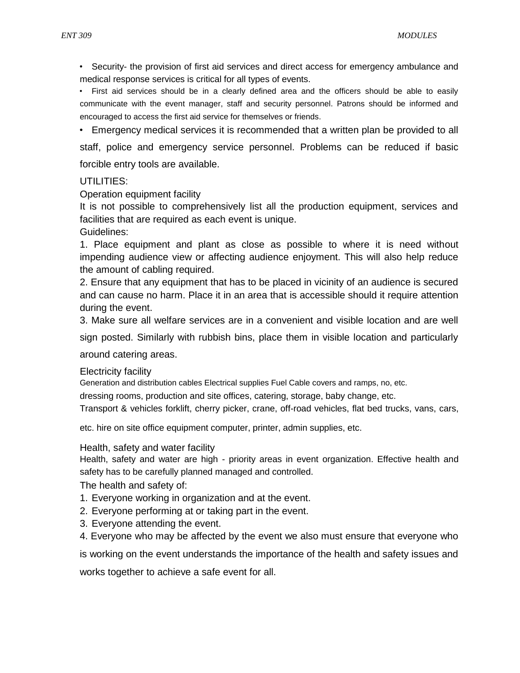• Security- the provision of first aid services and direct access for emergency ambulance and medical response services is critical for all types of events.

• First aid services should be in a clearly defined area and the officers should be able to easily communicate with the event manager, staff and security personnel. Patrons should be informed and encouraged to access the first aid service for themselves or friends.

• Emergency medical services it is recommended that a written plan be provided to all staff, police and emergency service personnel. Problems can be reduced if basic forcible entry tools are available.

## UTILITIES:

Operation equipment facility

It is not possible to comprehensively list all the production equipment, services and facilities that are required as each event is unique.

Guidelines:

1. Place equipment and plant as close as possible to where it is need without impending audience view or affecting audience enjoyment. This will also help reduce the amount of cabling required.

2. Ensure that any equipment that has to be placed in vicinity of an audience is secured and can cause no harm. Place it in an area that is accessible should it require attention during the event.

3. Make sure all welfare services are in a convenient and visible location and are well

sign posted. Similarly with rubbish bins, place them in visible location and particularly

around catering areas.

Electricity facility

Generation and distribution cables Electrical supplies Fuel Cable covers and ramps, no, etc.

dressing rooms, production and site offices, catering, storage, baby change, etc.

Transport & vehicles forklift, cherry picker, crane, off-road vehicles, flat bed trucks, vans, cars,

etc. hire on site office equipment computer, printer, admin supplies, etc.

## Health, safety and water facility

Health, safety and water are high - priority areas in event organization. Effective health and safety has to be carefully planned managed and controlled.

The health and safety of:

- 1. Everyone working in organization and at the event.
- 2. Everyone performing at or taking part in the event.
- 3. Everyone attending the event.
- 4. Everyone who may be affected by the event we also must ensure that everyone who

is working on the event understands the importance of the health and safety issues and

works together to achieve a safe event for all.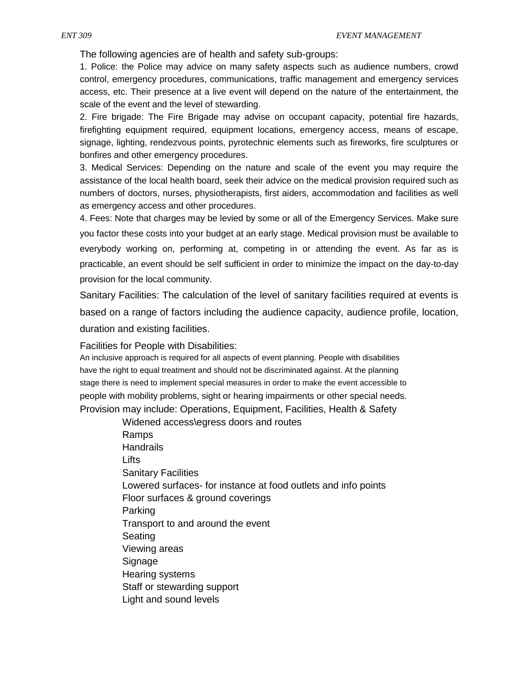The following agencies are of health and safety sub-groups:

1. Police: the Police may advice on many safety aspects such as audience numbers, crowd control, emergency procedures, communications, traffic management and emergency services access, etc. Their presence at a live event will depend on the nature of the entertainment, the scale of the event and the level of stewarding.

2. Fire brigade: The Fire Brigade may advise on occupant capacity, potential fire hazards, firefighting equipment required, equipment locations, emergency access, means of escape, signage, lighting, rendezvous points, pyrotechnic elements such as fireworks, fire sculptures or bonfires and other emergency procedures.

3. Medical Services: Depending on the nature and scale of the event you may require the assistance of the local health board, seek their advice on the medical provision required such as numbers of doctors, nurses, physiotherapists, first aiders, accommodation and facilities as well as emergency access and other procedures.

4. Fees: Note that charges may be levied by some or all of the Emergency Services. Make sure you factor these costs into your budget at an early stage. Medical provision must be available to everybody working on, performing at, competing in or attending the event. As far as is practicable, an event should be self sufficient in order to minimize the impact on the day-to-day provision for the local community.

Sanitary Facilities: The calculation of the level of sanitary facilities required at events is based on a range of factors including the audience capacity, audience profile, location, duration and existing facilities.

Facilities for People with Disabilities:

An inclusive approach is required for all aspects of event planning. People with disabilities have the right to equal treatment and should not be discriminated against. At the planning stage there is need to implement special measures in order to make the event accessible to people with mobility problems, sight or hearing impairments or other special needs. Provision may include: Operations, Equipment, Facilities, Health & Safety

> Widened access\egress doors and routes Ramps **Handrails** Lifts Sanitary Facilities Lowered surfaces- for instance at food outlets and info points Floor surfaces & ground coverings Parking Transport to and around the event Seating Viewing areas Signage Hearing systems Staff or stewarding support Light and sound levels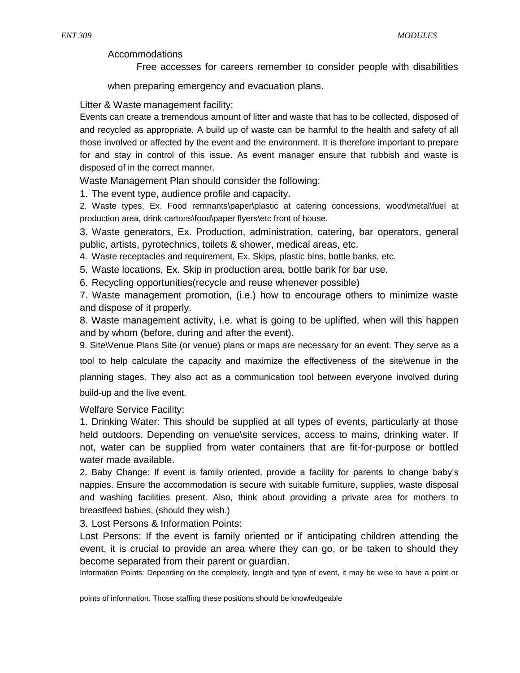Accommodations

Free accesses for careers remember to consider people with disabilities

when preparing emergency and evacuation plans.

Litter & Waste management facility:

Events can create a tremendous amount of litter and waste that has to be collected, disposed of and recycled as appropriate. A build up of waste can be harmful to the health and safety of all those involved or affected by the event and the environment. It is therefore important to prepare for and stay in control of this issue. As event manager ensure that rubbish and waste is disposed of in the correct manner.

Waste Management Plan should consider the following:

1. The event type, audience profile and capacity.

2. Waste types, Ex. Food remnants\paper\plastic at catering concessions, wood\metal\fuel at production area, drink cartons\food\paper flyers\etc front of house.

3. Waste generators, Ex. Production, administration, catering, bar operators, general public, artists, pyrotechnics, toilets & shower, medical areas, etc.

4. Waste receptacles and requirement, Ex. Skips, plastic bins, bottle banks, etc.

5. Waste locations, Ex. Skip in production area, bottle bank for bar use.

6. Recycling opportunities(recycle and reuse whenever possible)

7. Waste management promotion, (i.e.) how to encourage others to minimize waste and dispose of it properly.

8. Waste management activity, i.e. what is going to be uplifted, when will this happen and by whom (before, during and after the event).

9. Site\Venue Plans Site (or venue) plans or maps are necessary for an event. They serve as a

tool to help calculate the capacity and maximize the effectiveness of the site\venue in the planning stages. They also act as a communication tool between everyone involved during build-up and the live event.

Welfare Service Facility:

1. Drinking Water: This should be supplied at all types of events, particularly at those held outdoors. Depending on venue\site services, access to mains, drinking water. If not, water can be supplied from water containers that are fit-for-purpose or bottled water made available.

2. Baby Change: If event is family oriented, provide a facility for parents to change baby's nappies. Ensure the accommodation is secure with suitable furniture, supplies, waste disposal and washing facilities present. Also, think about providing a private area for mothers to breastfeed babies, (should they wish.)

3. Lost Persons & Information Points:

Lost Persons: If the event is family oriented or if anticipating children attending the event, it is crucial to provide an area where they can go, or be taken to should they become separated from their parent or guardian.

Information Points: Depending on the complexity, length and type of event, it may be wise to have a point or

points of information. Those staffing these positions should be knowledgeable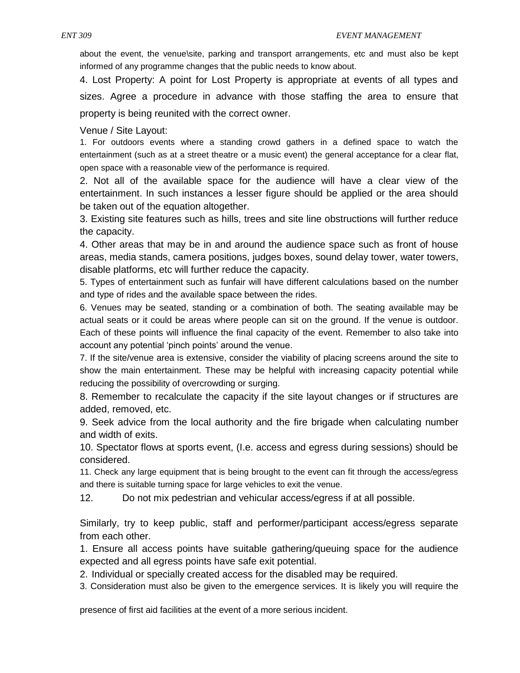about the event, the venue\site, parking and transport arrangements, etc and must also be kept informed of any programme changes that the public needs to know about.

4. Lost Property: A point for Lost Property is appropriate at events of all types and sizes. Agree a procedure in advance with those staffing the area to ensure that property is being reunited with the correct owner.

Venue / Site Layout:

1. For outdoors events where a standing crowd gathers in a defined space to watch the entertainment (such as at a street theatre or a music event) the general acceptance for a clear flat, open space with a reasonable view of the performance is required.

2. Not all of the available space for the audience will have a clear view of the entertainment. In such instances a lesser figure should be applied or the area should be taken out of the equation altogether.

3. Existing site features such as hills, trees and site line obstructions will further reduce the capacity.

4. Other areas that may be in and around the audience space such as front of house areas, media stands, camera positions, judges boxes, sound delay tower, water towers, disable platforms, etc will further reduce the capacity.

5. Types of entertainment such as funfair will have different calculations based on the number and type of rides and the available space between the rides.

6. Venues may be seated, standing or a combination of both. The seating available may be actual seats or it could be areas where people can sit on the ground. If the venue is outdoor. Each of these points will influence the final capacity of the event. Remember to also take into account any potential 'pinch points' around the venue.

7. If the site/venue area is extensive, consider the viability of placing screens around the site to show the main entertainment. These may be helpful with increasing capacity potential while reducing the possibility of overcrowding or surging.

8. Remember to recalculate the capacity if the site layout changes or if structures are added, removed, etc.

9. Seek advice from the local authority and the fire brigade when calculating number and width of exits.

10. Spectator flows at sports event, (I.e. access and egress during sessions) should be considered.

11. Check any large equipment that is being brought to the event can fit through the access/egress and there is suitable turning space for large vehicles to exit the venue.

12. Do not mix pedestrian and vehicular access/egress if at all possible.

Similarly, try to keep public, staff and performer/participant access/egress separate from each other.

1. Ensure all access points have suitable gathering/queuing space for the audience expected and all egress points have safe exit potential.

2. Individual or specially created access for the disabled may be required.

3. Consideration must also be given to the emergence services. It is likely you will require the

presence of first aid facilities at the event of a more serious incident.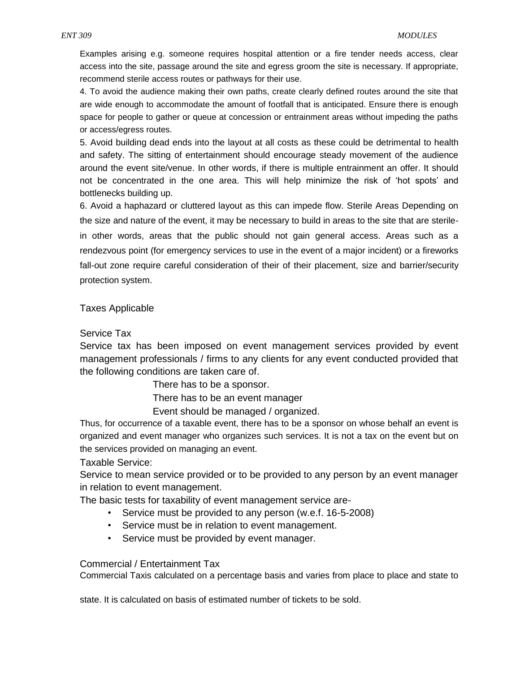Examples arising e.g. someone requires hospital attention or a fire tender needs access, clear access into the site, passage around the site and egress groom the site is necessary. If appropriate, recommend sterile access routes or pathways for their use.

4. To avoid the audience making their own paths, create clearly defined routes around the site that are wide enough to accommodate the amount of footfall that is anticipated. Ensure there is enough space for people to gather or queue at concession or entrainment areas without impeding the paths or access/egress routes.

5. Avoid building dead ends into the layout at all costs as these could be detrimental to health and safety. The sitting of entertainment should encourage steady movement of the audience around the event site/venue. In other words, if there is multiple entrainment an offer. It should not be concentrated in the one area. This will help minimize the risk of 'hot spots' and bottlenecks building up.

6. Avoid a haphazard or cluttered layout as this can impede flow. Sterile Areas Depending on the size and nature of the event, it may be necessary to build in areas to the site that are sterilein other words, areas that the public should not gain general access. Areas such as a rendezvous point (for emergency services to use in the event of a major incident) or a fireworks fall-out zone require careful consideration of their of their placement, size and barrier/security protection system.

Taxes Applicable

Service Tax

Service tax has been imposed on event management services provided by event management professionals / firms to any clients for any event conducted provided that the following conditions are taken care of.

There has to be a sponsor.

There has to be an event manager

Event should be managed / organized.

Thus, for occurrence of a taxable event, there has to be a sponsor on whose behalf an event is organized and event manager who organizes such services. It is not a tax on the event but on the services provided on managing an event.

Taxable Service:

Service to mean service provided or to be provided to any person by an event manager in relation to event management.

The basic tests for taxability of event management service are-

- Service must be provided to any person (w.e.f. 16-5-2008)
- Service must be in relation to event management.
- Service must be provided by event manager.

#### Commercial / Entertainment Tax

Commercial Taxis calculated on a percentage basis and varies from place to place and state to

state. It is calculated on basis of estimated number of tickets to be sold.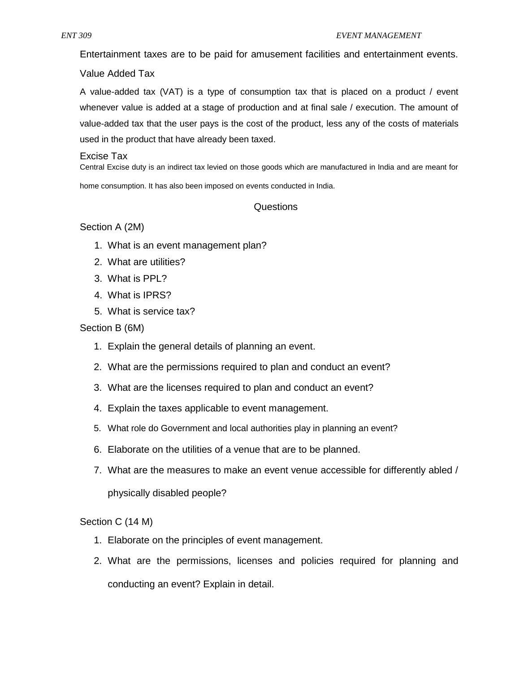Entertainment taxes are to be paid for amusement facilities and entertainment events.

## Value Added Tax

A value-added tax (VAT) is a type of consumption tax that is placed on a product / event whenever value is added at a stage of production and at final sale / execution. The amount of value-added tax that the user pays is the cost of the product, less any of the costs of materials used in the product that have already been taxed.

#### Excise Tax

Central Excise duty is an indirect tax levied on those goods which are manufactured in India and are meant for home consumption. It has also been imposed on events conducted in India.

# Questions

# Section A (2M)

- 1. What is an event management plan?
- 2. What are utilities?
- 3. What is PPL?
- 4. What is IPRS?
- 5. What is service tax?

# Section B (6M)

- 1. Explain the general details of planning an event.
- 2. What are the permissions required to plan and conduct an event?
- 3. What are the licenses required to plan and conduct an event?
- 4. Explain the taxes applicable to event management.
- 5. What role do Government and local authorities play in planning an event?
- 6. Elaborate on the utilities of a venue that are to be planned.
- 7. What are the measures to make an event venue accessible for differently abled /

physically disabled people?

# Section C (14 M)

- 1. Elaborate on the principles of event management.
- 2. What are the permissions, licenses and policies required for planning and conducting an event? Explain in detail.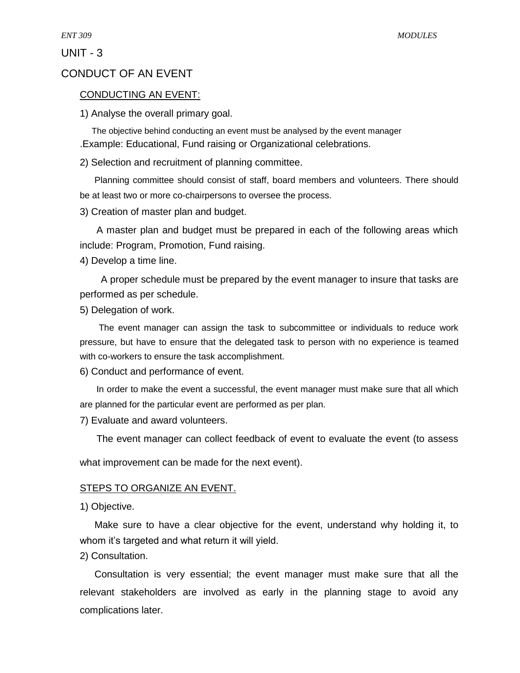UNIT - 3

# CONDUCT OF AN EVENT

## CONDUCTING AN EVENT:

1) Analyse the overall primary goal.

The objective behind conducting an event must be analysed by the event manager .Example: Educational, Fund raising or Organizational celebrations.

2) Selection and recruitment of planning committee.

Planning committee should consist of staff, board members and volunteers. There should be at least two or more co-chairpersons to oversee the process.

3) Creation of master plan and budget.

A master plan and budget must be prepared in each of the following areas which include: Program, Promotion, Fund raising.

4) Develop a time line.

A proper schedule must be prepared by the event manager to insure that tasks are performed as per schedule.

5) Delegation of work.

The event manager can assign the task to subcommittee or individuals to reduce work pressure, but have to ensure that the delegated task to person with no experience is teamed with co-workers to ensure the task accomplishment.

6) Conduct and performance of event.

In order to make the event a successful, the event manager must make sure that all which are planned for the particular event are performed as per plan.

7) Evaluate and award volunteers.

The event manager can collect feedback of event to evaluate the event (to assess

what improvement can be made for the next event).

## STEPS TO ORGANIZE AN EVENT.

1) Objective.

Make sure to have a clear objective for the event, understand why holding it, to whom it's targeted and what return it will yield.

2) Consultation.

Consultation is very essential; the event manager must make sure that all the relevant stakeholders are involved as early in the planning stage to avoid any complications later.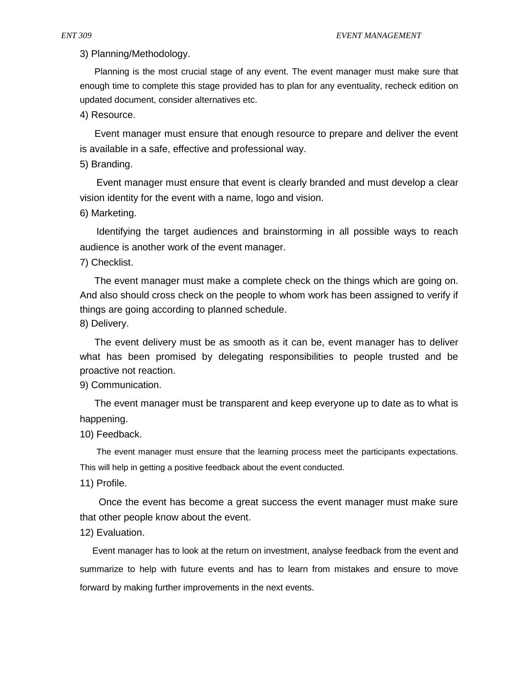3) Planning/Methodology.

Planning is the most crucial stage of any event. The event manager must make sure that enough time to complete this stage provided has to plan for any eventuality, recheck edition on updated document, consider alternatives etc.

4) Resource.

Event manager must ensure that enough resource to prepare and deliver the event is available in a safe, effective and professional way.

5) Branding.

Event manager must ensure that event is clearly branded and must develop a clear vision identity for the event with a name, logo and vision.

6) Marketing.

Identifying the target audiences and brainstorming in all possible ways to reach audience is another work of the event manager.

7) Checklist.

The event manager must make a complete check on the things which are going on. And also should cross check on the people to whom work has been assigned to verify if things are going according to planned schedule.

8) Delivery.

The event delivery must be as smooth as it can be, event manager has to deliver what has been promised by delegating responsibilities to people trusted and be proactive not reaction.

9) Communication.

The event manager must be transparent and keep everyone up to date as to what is happening.

10) Feedback.

The event manager must ensure that the learning process meet the participants expectations. This will help in getting a positive feedback about the event conducted.

11) Profile.

Once the event has become a great success the event manager must make sure that other people know about the event.

12) Evaluation.

Event manager has to look at the return on investment, analyse feedback from the event and summarize to help with future events and has to learn from mistakes and ensure to move forward by making further improvements in the next events.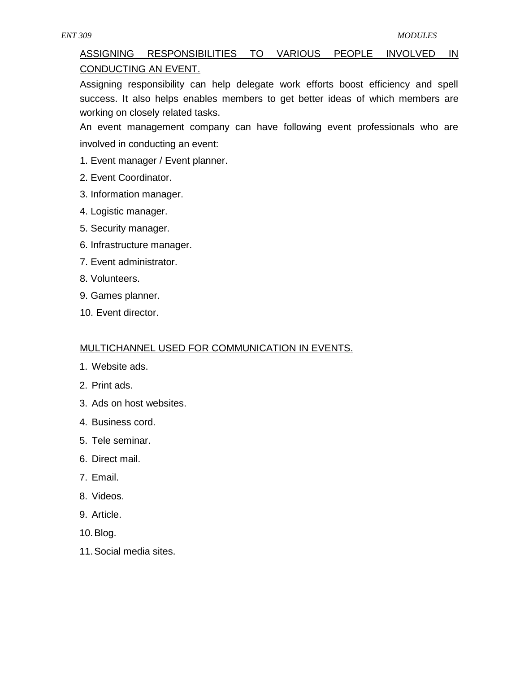# ASSIGNING RESPONSIBILITIES TO VARIOUS PEOPLE INVOLVED IN CONDUCTING AN EVENT.

Assigning responsibility can help delegate work efforts boost efficiency and spell success. It also helps enables members to get better ideas of which members are working on closely related tasks.

An event management company can have following event professionals who are involved in conducting an event:

- 1. Event manager / Event planner.
- 2. Event Coordinator.
- 3. Information manager.
- 4. Logistic manager.
- 5. Security manager.
- 6. Infrastructure manager.
- 7. Event administrator.
- 8. Volunteers.
- 9. Games planner.
- 10. Event director.

# MULTICHANNEL USED FOR COMMUNICATION IN EVENTS.

- 1. Website ads.
- 2. Print ads.
- 3. Ads on host websites.
- 4. Business cord.
- 5. Tele seminar.
- 6. Direct mail.
- 7. Email.
- 8. Videos.
- 9. Article.
- 10.Blog.
- 11.Social media sites.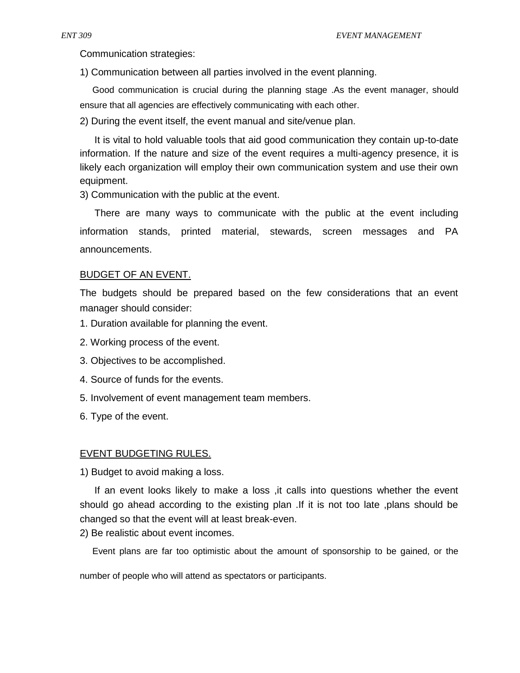Communication strategies:

1) Communication between all parties involved in the event planning.

Good communication is crucial during the planning stage .As the event manager, should ensure that all agencies are effectively communicating with each other.

2) During the event itself, the event manual and site/venue plan.

It is vital to hold valuable tools that aid good communication they contain up-to-date information. If the nature and size of the event requires a multi-agency presence, it is likely each organization will employ their own communication system and use their own equipment.

3) Communication with the public at the event.

There are many ways to communicate with the public at the event including information stands, printed material, stewards, screen messages and PA announcements.

### BUDGET OF AN EVENT.

The budgets should be prepared based on the few considerations that an event manager should consider:

- 1. Duration available for planning the event.
- 2. Working process of the event.
- 3. Objectives to be accomplished.
- 4. Source of funds for the events.
- 5. Involvement of event management team members.
- 6. Type of the event.

#### EVENT BUDGETING RULES.

1) Budget to avoid making a loss.

If an event looks likely to make a loss ,it calls into questions whether the event should go ahead according to the existing plan .If it is not too late ,plans should be changed so that the event will at least break-even.

2) Be realistic about event incomes.

Event plans are far too optimistic about the amount of sponsorship to be gained, or the

number of people who will attend as spectators or participants.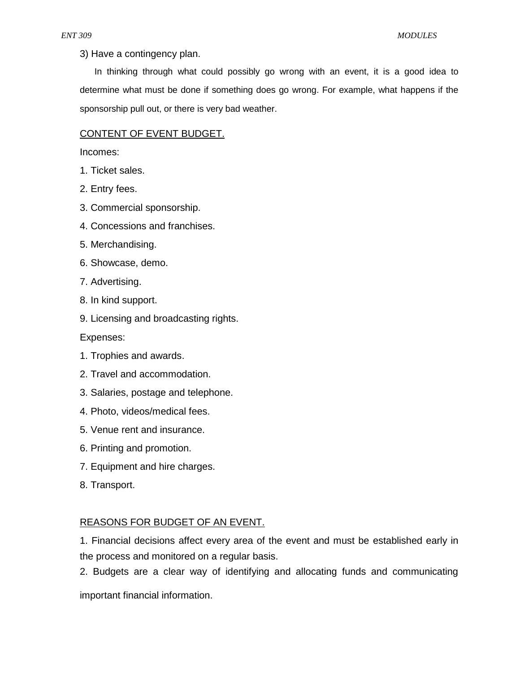3) Have a contingency plan.

In thinking through what could possibly go wrong with an event, it is a good idea to determine what must be done if something does go wrong. For example, what happens if the sponsorship pull out, or there is very bad weather.

# CONTENT OF EVENT BUDGET.

Incomes:

- 1. Ticket sales.
- 2. Entry fees.
- 3. Commercial sponsorship.
- 4. Concessions and franchises.
- 5. Merchandising.
- 6. Showcase, demo.
- 7. Advertising.
- 8. In kind support.
- 9. Licensing and broadcasting rights.

Expenses:

- 1. Trophies and awards.
- 2. Travel and accommodation.
- 3. Salaries, postage and telephone.
- 4. Photo, videos/medical fees.
- 5. Venue rent and insurance.
- 6. Printing and promotion.
- 7. Equipment and hire charges.
- 8. Transport.

# REASONS FOR BUDGET OF AN EVENT.

1. Financial decisions affect every area of the event and must be established early in the process and monitored on a regular basis.

2. Budgets are a clear way of identifying and allocating funds and communicating

important financial information.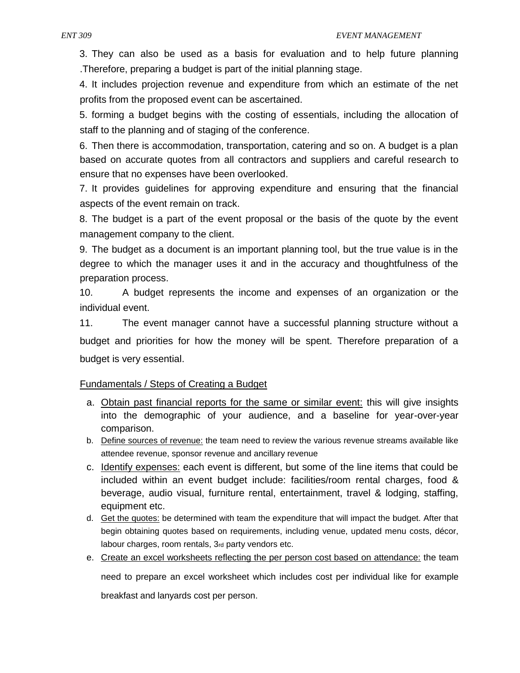3. They can also be used as a basis for evaluation and to help future planning .Therefore, preparing a budget is part of the initial planning stage.

4. It includes projection revenue and expenditure from which an estimate of the net profits from the proposed event can be ascertained.

5. forming a budget begins with the costing of essentials, including the allocation of staff to the planning and of staging of the conference.

6. Then there is accommodation, transportation, catering and so on. A budget is a plan based on accurate quotes from all contractors and suppliers and careful research to ensure that no expenses have been overlooked.

7. It provides guidelines for approving expenditure and ensuring that the financial aspects of the event remain on track.

8. The budget is a part of the event proposal or the basis of the quote by the event management company to the client.

9. The budget as a document is an important planning tool, but the true value is in the degree to which the manager uses it and in the accuracy and thoughtfulness of the preparation process.

10. A budget represents the income and expenses of an organization or the individual event.

11. The event manager cannot have a successful planning structure without a budget and priorities for how the money will be spent. Therefore preparation of a budget is very essential.

# Fundamentals / Steps of Creating a Budget

- a. Obtain past financial reports for the same or similar event: this will give insights into the demographic of your audience, and a baseline for year-over-year comparison.
- b. Define sources of revenue: the team need to review the various revenue streams available like attendee revenue, sponsor revenue and ancillary revenue
- c. Identify expenses: each event is different, but some of the line items that could be included within an event budget include: facilities/room rental charges, food & beverage, audio visual, furniture rental, entertainment, travel & lodging, staffing, equipment etc.
- d. Get the quotes: be determined with team the expenditure that will impact the budget. After that begin obtaining quotes based on requirements, including venue, updated menu costs, décor, labour charges, room rentals, 3rd party vendors etc.
- e. Create an excel worksheets reflecting the per person cost based on attendance: the team

need to prepare an excel worksheet which includes cost per individual like for example breakfast and lanyards cost per person.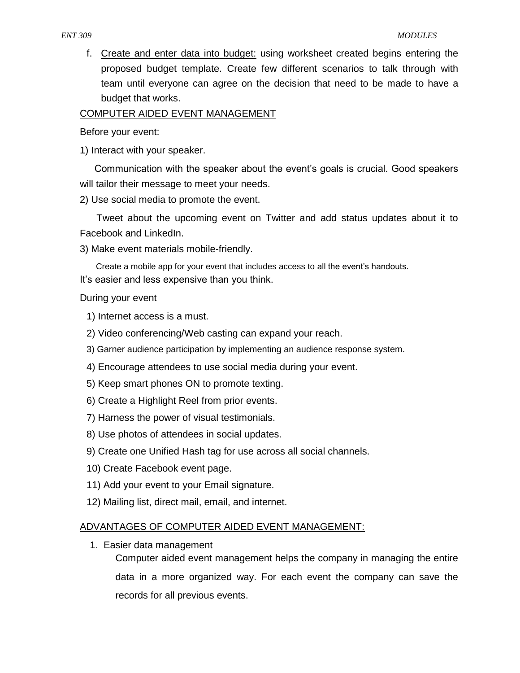f. Create and enter data into budget: using worksheet created begins entering the proposed budget template. Create few different scenarios to talk through with team until everyone can agree on the decision that need to be made to have a budget that works.

# COMPUTER AIDED EVENT MANAGEMENT

Before your event:

1) Interact with your speaker.

Communication with the speaker about the event's goals is crucial. Good speakers will tailor their message to meet your needs.

2) Use social media to promote the event.

Tweet about the upcoming event on Twitter and add status updates about it to Facebook and LinkedIn.

3) Make event materials mobile-friendly.

Create a mobile app for your event that includes access to all the event's handouts. It's easier and less expensive than you think.

# During your event

- 1) Internet access is a must.
- 2) Video conferencing/Web casting can expand your reach.
- 3) Garner audience participation by implementing an audience response system.
- 4) Encourage attendees to use social media during your event.
- 5) Keep smart phones ON to promote texting.
- 6) Create a Highlight Reel from prior events.
- 7) Harness the power of visual testimonials.
- 8) Use photos of attendees in social updates.
- 9) Create one Unified Hash tag for use across all social channels.
- 10) Create Facebook event page.
- 11) Add your event to your Email signature.
- 12) Mailing list, direct mail, email, and internet.

# ADVANTAGES OF COMPUTER AIDED EVENT MANAGEMENT:

1. Easier data management

Computer aided event management helps the company in managing the entire data in a more organized way. For each event the company can save the records for all previous events.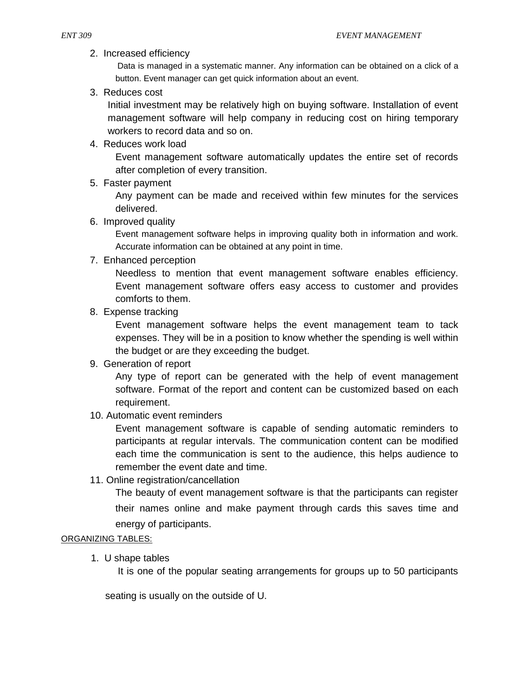2. Increased efficiency

Data is managed in a systematic manner. Any information can be obtained on a click of a button. Event manager can get quick information about an event.

3. Reduces cost

Initial investment may be relatively high on buying software. Installation of event management software will help company in reducing cost on hiring temporary workers to record data and so on.

4. Reduces work load

Event management software automatically updates the entire set of records after completion of every transition.

5. Faster payment

Any payment can be made and received within few minutes for the services delivered.

6. Improved quality

Event management software helps in improving quality both in information and work. Accurate information can be obtained at any point in time.

7. Enhanced perception

Needless to mention that event management software enables efficiency. Event management software offers easy access to customer and provides comforts to them.

8. Expense tracking

Event management software helps the event management team to tack expenses. They will be in a position to know whether the spending is well within the budget or are they exceeding the budget.

9. Generation of report

Any type of report can be generated with the help of event management software. Format of the report and content can be customized based on each requirement.

10. Automatic event reminders

Event management software is capable of sending automatic reminders to participants at regular intervals. The communication content can be modified each time the communication is sent to the audience, this helps audience to remember the event date and time.

11. Online registration/cancellation

The beauty of event management software is that the participants can register their names online and make payment through cards this saves time and energy of participants.

# ORGANIZING TABLES:

1. U shape tables

It is one of the popular seating arrangements for groups up to 50 participants

seating is usually on the outside of U.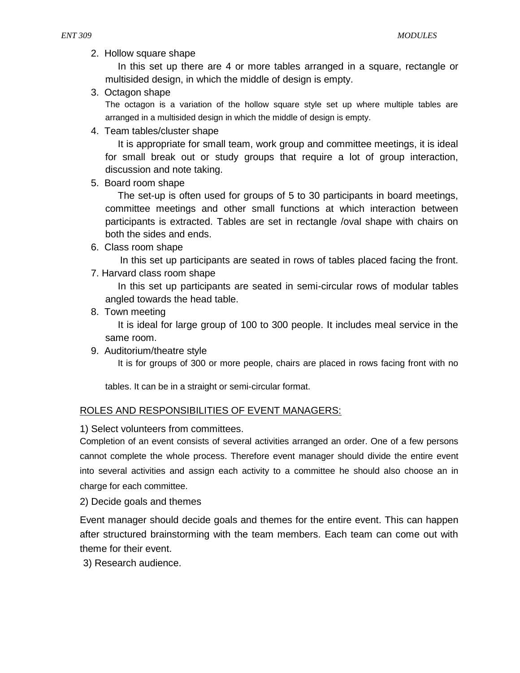2. Hollow square shape

In this set up there are 4 or more tables arranged in a square, rectangle or multisided design, in which the middle of design is empty.

3. Octagon shape

The octagon is a variation of the hollow square style set up where multiple tables are arranged in a multisided design in which the middle of design is empty.

4. Team tables/cluster shape

It is appropriate for small team, work group and committee meetings, it is ideal for small break out or study groups that require a lot of group interaction, discussion and note taking.

5. Board room shape

The set-up is often used for groups of 5 to 30 participants in board meetings, committee meetings and other small functions at which interaction between participants is extracted. Tables are set in rectangle /oval shape with chairs on both the sides and ends.

6. Class room shape

In this set up participants are seated in rows of tables placed facing the front.

7. Harvard class room shape

In this set up participants are seated in semi-circular rows of modular tables angled towards the head table.

8. Town meeting

It is ideal for large group of 100 to 300 people. It includes meal service in the same room.

9. Auditorium/theatre style

It is for groups of 300 or more people, chairs are placed in rows facing front with no

tables. It can be in a straight or semi-circular format.

# ROLES AND RESPONSIBILITIES OF EVENT MANAGERS:

1) Select volunteers from committees.

Completion of an event consists of several activities arranged an order. One of a few persons cannot complete the whole process. Therefore event manager should divide the entire event into several activities and assign each activity to a committee he should also choose an in charge for each committee.

2) Decide goals and themes

Event manager should decide goals and themes for the entire event. This can happen after structured brainstorming with the team members. Each team can come out with theme for their event.

3) Research audience.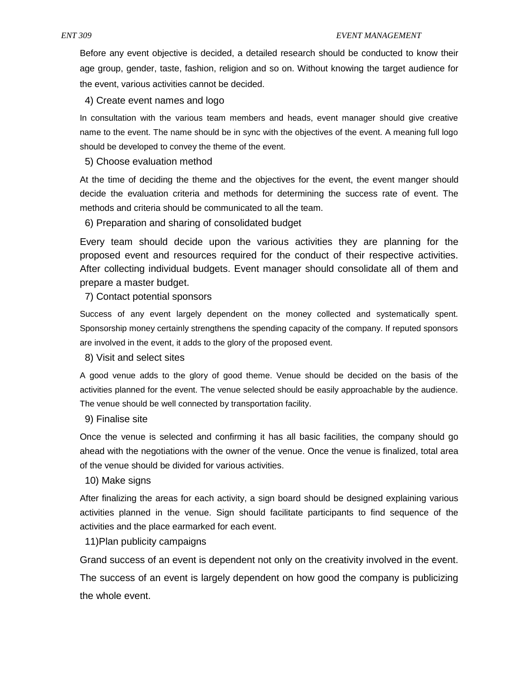Before any event objective is decided, a detailed research should be conducted to know their age group, gender, taste, fashion, religion and so on. Without knowing the target audience for the event, various activities cannot be decided.

4) Create event names and logo

In consultation with the various team members and heads, event manager should give creative name to the event. The name should be in sync with the objectives of the event. A meaning full logo should be developed to convey the theme of the event.

### 5) Choose evaluation method

At the time of deciding the theme and the objectives for the event, the event manger should decide the evaluation criteria and methods for determining the success rate of event. The methods and criteria should be communicated to all the team.

6) Preparation and sharing of consolidated budget

Every team should decide upon the various activities they are planning for the proposed event and resources required for the conduct of their respective activities. After collecting individual budgets. Event manager should consolidate all of them and prepare a master budget.

7) Contact potential sponsors

Success of any event largely dependent on the money collected and systematically spent. Sponsorship money certainly strengthens the spending capacity of the company. If reputed sponsors are involved in the event, it adds to the glory of the proposed event.

8) Visit and select sites

A good venue adds to the glory of good theme. Venue should be decided on the basis of the activities planned for the event. The venue selected should be easily approachable by the audience. The venue should be well connected by transportation facility.

9) Finalise site

Once the venue is selected and confirming it has all basic facilities, the company should go ahead with the negotiations with the owner of the venue. Once the venue is finalized, total area of the venue should be divided for various activities.

#### 10) Make signs

After finalizing the areas for each activity, a sign board should be designed explaining various activities planned in the venue. Sign should facilitate participants to find sequence of the activities and the place earmarked for each event.

11)Plan publicity campaigns

Grand success of an event is dependent not only on the creativity involved in the event. The success of an event is largely dependent on how good the company is publicizing the whole event.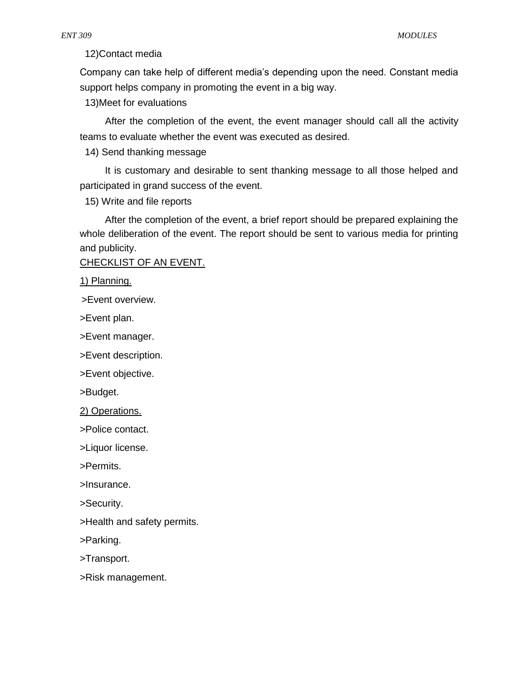12)Contact media

Company can take help of different media's depending upon the need. Constant media support helps company in promoting the event in a big way.

13)Meet for evaluations

After the completion of the event, the event manager should call all the activity teams to evaluate whether the event was executed as desired.

14) Send thanking message

It is customary and desirable to sent thanking message to all those helped and participated in grand success of the event.

15) Write and file reports

After the completion of the event, a brief report should be prepared explaining the whole deliberation of the event. The report should be sent to various media for printing and publicity.

CHECKLIST OF AN EVENT.

1) Planning.

>Event overview.

>Event plan.

>Event manager.

>Event description.

>Event objective.

>Budget.

2) Operations.

>Police contact.

>Liquor license.

>Permits.

>Insurance.

>Security.

>Health and safety permits.

>Parking.

>Transport.

>Risk management.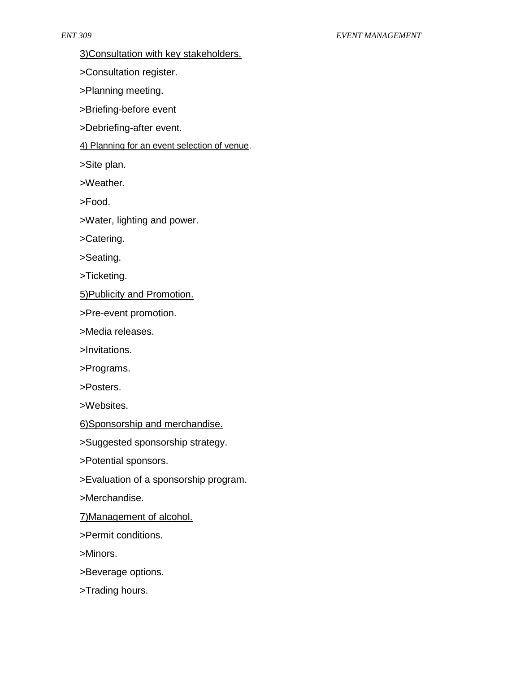3)Consultation with key stakeholders.

>Consultation register.

>Planning meeting.

>Briefing-before event

>Debriefing-after event.

4) Planning for an event selection of venue.

>Site plan.

>Weather.

>Food.

>Water, lighting and power.

>Catering.

>Seating.

>Ticketing.

5)Publicity and Promotion.

>Pre-event promotion.

>Media releases.

>Invitations.

>Programs.

>Posters.

>Websites.

6)Sponsorship and merchandise.

>Suggested sponsorship strategy.

>Potential sponsors.

>Evaluation of a sponsorship program.

>Merchandise.

7)Management of alcohol.

>Permit conditions.

>Minors.

>Beverage options.

>Trading hours.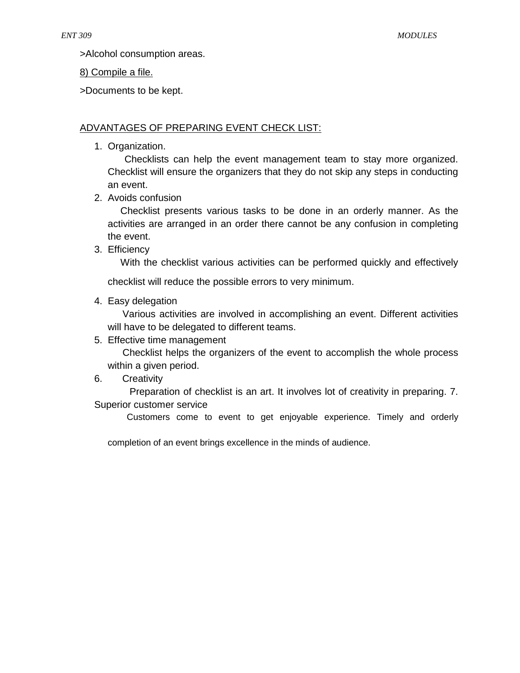>Alcohol consumption areas.

# 8) Compile a file.

>Documents to be kept.

# ADVANTAGES OF PREPARING EVENT CHECK LIST:

1. Organization.

Checklists can help the event management team to stay more organized. Checklist will ensure the organizers that they do not skip any steps in conducting an event.

2. Avoids confusion

Checklist presents various tasks to be done in an orderly manner. As the activities are arranged in an order there cannot be any confusion in completing the event.

3. Efficiency

With the checklist various activities can be performed quickly and effectively

checklist will reduce the possible errors to very minimum.

4. Easy delegation

Various activities are involved in accomplishing an event. Different activities will have to be delegated to different teams.

5. Effective time management

Checklist helps the organizers of the event to accomplish the whole process within a given period.

6. Creativity

Preparation of checklist is an art. It involves lot of creativity in preparing. 7. Superior customer service

Customers come to event to get enjoyable experience. Timely and orderly

completion of an event brings excellence in the minds of audience.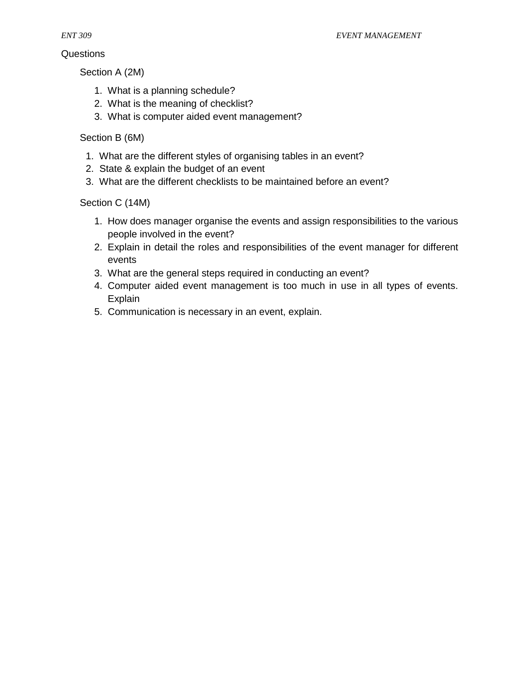# Questions

*ENT 309 EVENT MANAGEMENT*

Section A (2M)

- 1. What is a planning schedule?
- 2. What is the meaning of checklist?
- 3. What is computer aided event management?

# Section B (6M)

- 1. What are the different styles of organising tables in an event?
- 2. State & explain the budget of an event
- 3. What are the different checklists to be maintained before an event?

# Section C (14M)

- 1. How does manager organise the events and assign responsibilities to the various people involved in the event?
- 2. Explain in detail the roles and responsibilities of the event manager for different events
- 3. What are the general steps required in conducting an event?
- 4. Computer aided event management is too much in use in all types of events. Explain
- 5. Communication is necessary in an event, explain.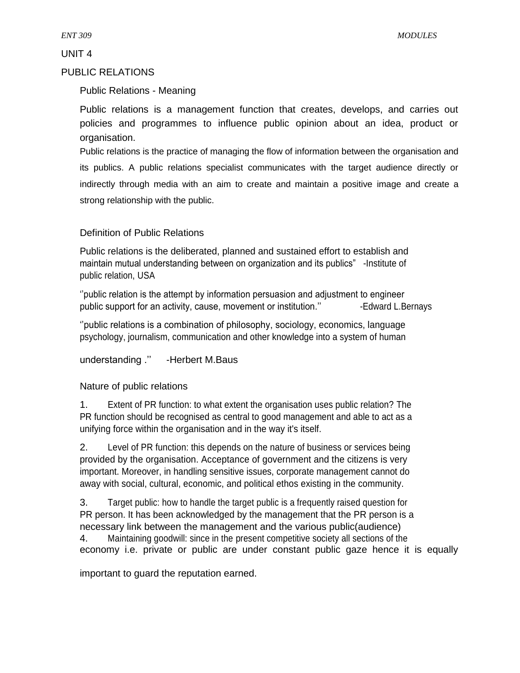# PUBLIC RELATIONS

# Public Relations - Meaning

Public relations is a management function that creates, develops, and carries out policies and programmes to influence public opinion about an idea, product or organisation.

Public relations is the practice of managing the flow of information between the organisation and its publics. A public relations specialist communicates with the target audience directly or indirectly through media with an aim to create and maintain a positive image and create a strong relationship with the public.

# Definition of Public Relations

Public relations is the deliberated, planned and sustained effort to establish and maintain mutual understanding between on organization and its publics" -Institute of public relation, USA

''public relation is the attempt by information persuasion and adjustment to engineer public support for an activity, cause, movement or institution." - Fedward L.Bernays

''public relations is a combination of philosophy, sociology, economics, language psychology, journalism, communication and other knowledge into a system of human

understanding ." -Herbert M.Baus

# Nature of public relations

1. Extent of PR function: to what extent the organisation uses public relation? The PR function should be recognised as central to good management and able to act as a unifying force within the organisation and in the way it's itself.

2. Level of PR function: this depends on the nature of business or services being provided by the organisation. Acceptance of government and the citizens is very important. Moreover, in handling sensitive issues, corporate management cannot do away with social, cultural, economic, and political ethos existing in the community.

3. Target public: how to handle the target public is a frequently raised question for PR person. It has been acknowledged by the management that the PR person is a necessary link between the management and the various public(audience) 4. Maintaining goodwill: since in the present competitive society all sections of the

economy i.e. private or public are under constant public gaze hence it is equally

important to guard the reputation earned.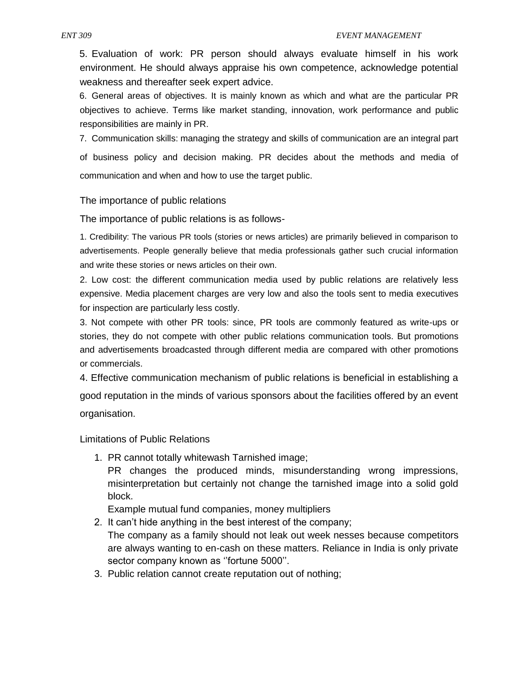5. Evaluation of work: PR person should always evaluate himself in his work environment. He should always appraise his own competence, acknowledge potential weakness and thereafter seek expert advice.

6. General areas of objectives. It is mainly known as which and what are the particular PR objectives to achieve. Terms like market standing, innovation, work performance and public responsibilities are mainly in PR.

7. Communication skills: managing the strategy and skills of communication are an integral part of business policy and decision making. PR decides about the methods and media of communication and when and how to use the target public.

### The importance of public relations

The importance of public relations is as follows-

1. Credibility: The various PR tools (stories or news articles) are primarily believed in comparison to advertisements. People generally believe that media professionals gather such crucial information and write these stories or news articles on their own.

2. Low cost: the different communication media used by public relations are relatively less expensive. Media placement charges are very low and also the tools sent to media executives for inspection are particularly less costly.

3. Not compete with other PR tools: since, PR tools are commonly featured as write-ups or stories, they do not compete with other public relations communication tools. But promotions and advertisements broadcasted through different media are compared with other promotions or commercials.

4. Effective communication mechanism of public relations is beneficial in establishing a good reputation in the minds of various sponsors about the facilities offered by an event organisation.

Limitations of Public Relations

1. PR cannot totally whitewash Tarnished image;

PR changes the produced minds, misunderstanding wrong impressions, misinterpretation but certainly not change the tarnished image into a solid gold block.

Example mutual fund companies, money multipliers

- 2. It can't hide anything in the best interest of the company; The company as a family should not leak out week nesses because competitors are always wanting to en-cash on these matters. Reliance in India is only private sector company known as ''fortune 5000''.
- 3. Public relation cannot create reputation out of nothing;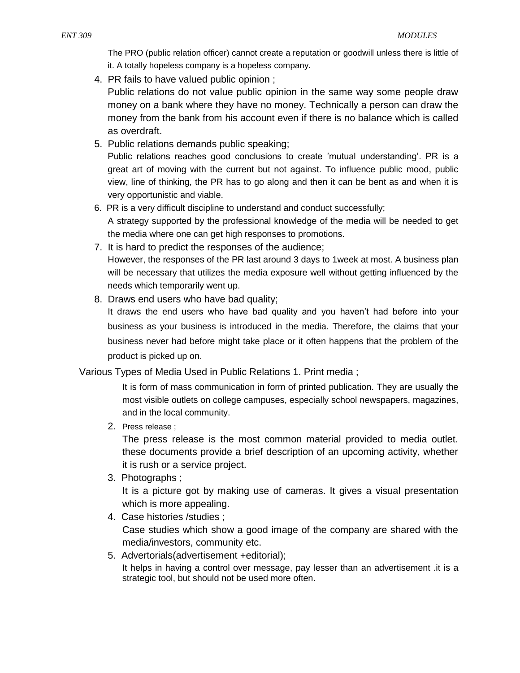The PRO (public relation officer) cannot create a reputation or goodwill unless there is little of it. A totally hopeless company is a hopeless company.

- 4. PR fails to have valued public opinion ; Public relations do not value public opinion in the same way some people draw money on a bank where they have no money. Technically a person can draw the money from the bank from his account even if there is no balance which is called as overdraft.
- 5. Public relations demands public speaking; Public relations reaches good conclusions to create 'mutual understanding'. PR is a great art of moving with the current but not against. To influence public mood, public view, line of thinking, the PR has to go along and then it can be bent as and when it is very opportunistic and viable.
- 6. PR is a very difficult discipline to understand and conduct successfully;

A strategy supported by the professional knowledge of the media will be needed to get the media where one can get high responses to promotions.

- 7. It is hard to predict the responses of the audience; However, the responses of the PR last around 3 days to 1week at most. A business plan will be necessary that utilizes the media exposure well without getting influenced by the needs which temporarily went up.
- 8. Draws end users who have bad quality;

It draws the end users who have bad quality and you haven't had before into your business as your business is introduced in the media. Therefore, the claims that your business never had before might take place or it often happens that the problem of the product is picked up on.

Various Types of Media Used in Public Relations 1. Print media ;

It is form of mass communication in form of printed publication. They are usually the most visible outlets on college campuses, especially school newspapers, magazines, and in the local community.

2. Press release ;

The press release is the most common material provided to media outlet. these documents provide a brief description of an upcoming activity, whether it is rush or a service project.

3. Photographs ;

It is a picture got by making use of cameras. It gives a visual presentation which is more appealing.

- 4. Case histories /studies ; Case studies which show a good image of the company are shared with the media/investors, community etc.
- 5. Advertorials(advertisement +editorial); It helps in having a control over message, pay lesser than an advertisement .it is a strategic tool, but should not be used more often.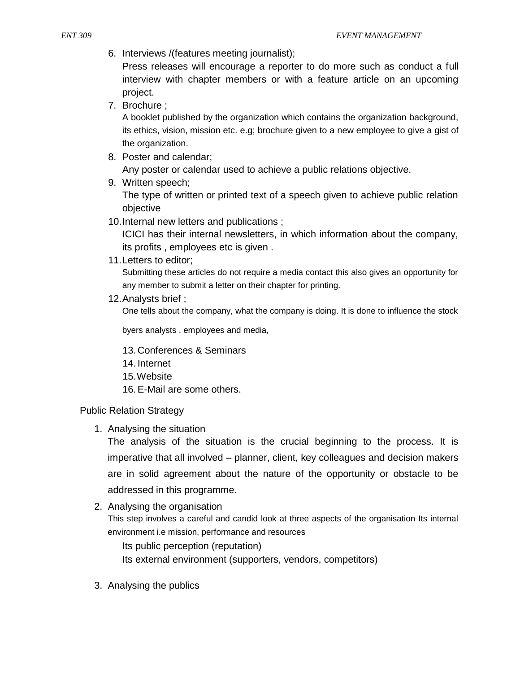6. Interviews /(features meeting journalist);

Press releases will encourage a reporter to do more such as conduct a full interview with chapter members or with a feature article on an upcoming project.

7. Brochure ;

A booklet published by the organization which contains the organization background, its ethics, vision, mission etc. e.g; brochure given to a new employee to give a gist of the organization.

8. Poster and calendar;

Any poster or calendar used to achieve a public relations objective.

- 9. Written speech; The type of written or printed text of a speech given to achieve public relation objective
- 10.Internal new letters and publications ;

ICICI has their internal newsletters, in which information about the company, its profits , employees etc is given .

11.Letters to editor;

Submitting these articles do not require a media contact this also gives an opportunity for any member to submit a letter on their chapter for printing.

12.Analysts brief ;

One tells about the company, what the company is doing. It is done to influence the stock

byers analysts , employees and media,

- 13. Conferences & Seminars
- 14. Internet
- 15.Website
- 16.E-Mail are some others.

#### Public Relation Strategy

1. Analysing the situation

The analysis of the situation is the crucial beginning to the process. It is imperative that all involved – planner, client, key colleagues and decision makers are in solid agreement about the nature of the opportunity or obstacle to be addressed in this programme.

2. Analysing the organisation

This step involves a careful and candid look at three aspects of the organisation Its internal environment i.e mission, performance and resources

Its public perception (reputation)

Its external environment (supporters, vendors, competitors)

3. Analysing the publics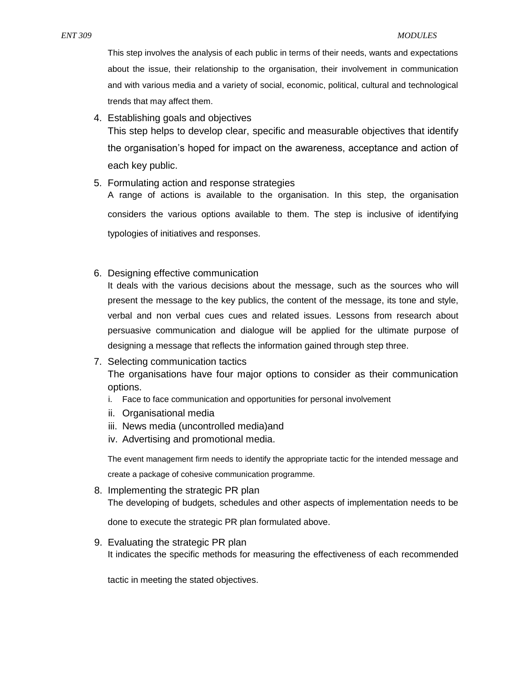This step involves the analysis of each public in terms of their needs, wants and expectations about the issue, their relationship to the organisation, their involvement in communication and with various media and a variety of social, economic, political, cultural and technological trends that may affect them.

4. Establishing goals and objectives

This step helps to develop clear, specific and measurable objectives that identify the organisation's hoped for impact on the awareness, acceptance and action of each key public.

5. Formulating action and response strategies

A range of actions is available to the organisation. In this step, the organisation considers the various options available to them. The step is inclusive of identifying typologies of initiatives and responses.

6. Designing effective communication

It deals with the various decisions about the message, such as the sources who will present the message to the key publics, the content of the message, its tone and style, verbal and non verbal cues cues and related issues. Lessons from research about persuasive communication and dialogue will be applied for the ultimate purpose of designing a message that reflects the information gained through step three.

7. Selecting communication tactics

The organisations have four major options to consider as their communication options.

- i. Face to face communication and opportunities for personal involvement
- ii. Organisational media
- iii. News media (uncontrolled media)and
- iv. Advertising and promotional media.

The event management firm needs to identify the appropriate tactic for the intended message and create a package of cohesive communication programme.

8. Implementing the strategic PR plan The developing of budgets, schedules and other aspects of implementation needs to be

done to execute the strategic PR plan formulated above.

9. Evaluating the strategic PR plan It indicates the specific methods for measuring the effectiveness of each recommended

tactic in meeting the stated objectives.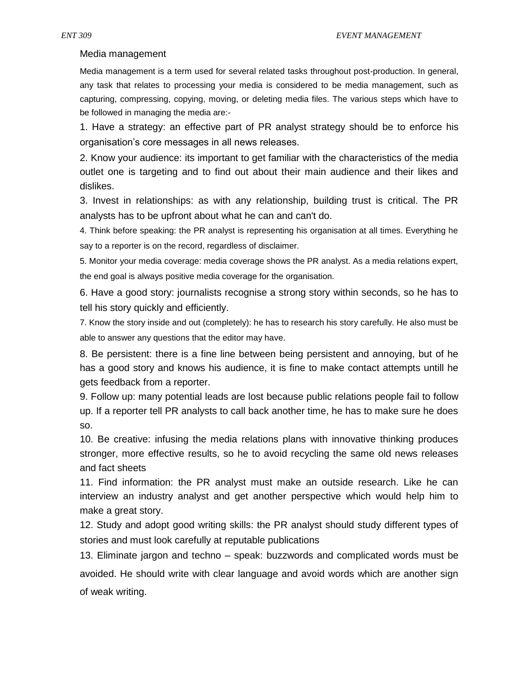### Media management

Media management is a term used for several related tasks throughout post-production. In general, any task that relates to processing your media is considered to be media management, such as capturing, compressing, copying, moving, or deleting media files. The various steps which have to be followed in managing the media are:-

1. Have a strategy: an effective part of PR analyst strategy should be to enforce his organisation's core messages in all news releases.

2. Know your audience: its important to get familiar with the characteristics of the media outlet one is targeting and to find out about their main audience and their likes and dislikes.

3. Invest in relationships: as with any relationship, building trust is critical. The PR analysts has to be upfront about what he can and can't do.

4. Think before speaking: the PR analyst is representing his organisation at all times. Everything he say to a reporter is on the record, regardless of disclaimer.

5. Monitor your media coverage: media coverage shows the PR analyst. As a media relations expert, the end goal is always positive media coverage for the organisation.

6. Have a good story: journalists recognise a strong story within seconds, so he has to tell his story quickly and efficiently.

7. Know the story inside and out (completely): he has to research his story carefully. He also must be able to answer any questions that the editor may have.

8. Be persistent: there is a fine line between being persistent and annoying, but of he has a good story and knows his audience, it is fine to make contact attempts untill he gets feedback from a reporter.

9. Follow up: many potential leads are lost because public relations people fail to follow up. If a reporter tell PR analysts to call back another time, he has to make sure he does so.

10. Be creative: infusing the media relations plans with innovative thinking produces stronger, more effective results, so he to avoid recycling the same old news releases and fact sheets

11. Find information: the PR analyst must make an outside research. Like he can interview an industry analyst and get another perspective which would help him to make a great story.

12. Study and adopt good writing skills: the PR analyst should study different types of stories and must look carefully at reputable publications

13. Eliminate jargon and techno – speak: buzzwords and complicated words must be avoided. He should write with clear language and avoid words which are another sign of weak writing.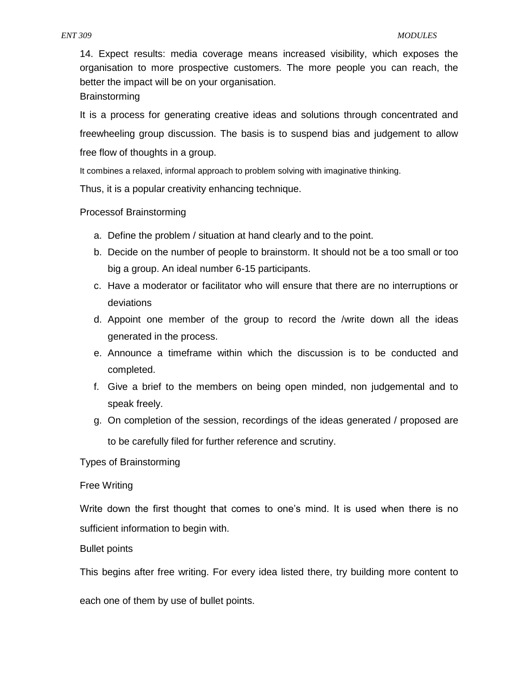14. Expect results: media coverage means increased visibility, which exposes the organisation to more prospective customers. The more people you can reach, the better the impact will be on your organisation.

Brainstorming

It is a process for generating creative ideas and solutions through concentrated and freewheeling group discussion. The basis is to suspend bias and judgement to allow free flow of thoughts in a group.

It combines a relaxed, informal approach to problem solving with imaginative thinking.

Thus, it is a popular creativity enhancing technique.

### Processof Brainstorming

- a. Define the problem / situation at hand clearly and to the point.
- b. Decide on the number of people to brainstorm. It should not be a too small or too big a group. An ideal number 6-15 participants.
- c. Have a moderator or facilitator who will ensure that there are no interruptions or deviations
- d. Appoint one member of the group to record the /write down all the ideas generated in the process.
- e. Announce a timeframe within which the discussion is to be conducted and completed.
- f. Give a brief to the members on being open minded, non judgemental and to speak freely.
- g. On completion of the session, recordings of the ideas generated / proposed are to be carefully filed for further reference and scrutiny.

Types of Brainstorming

#### Free Writing

Write down the first thought that comes to one's mind. It is used when there is no sufficient information to begin with.

Bullet points

This begins after free writing. For every idea listed there, try building more content to

each one of them by use of bullet points.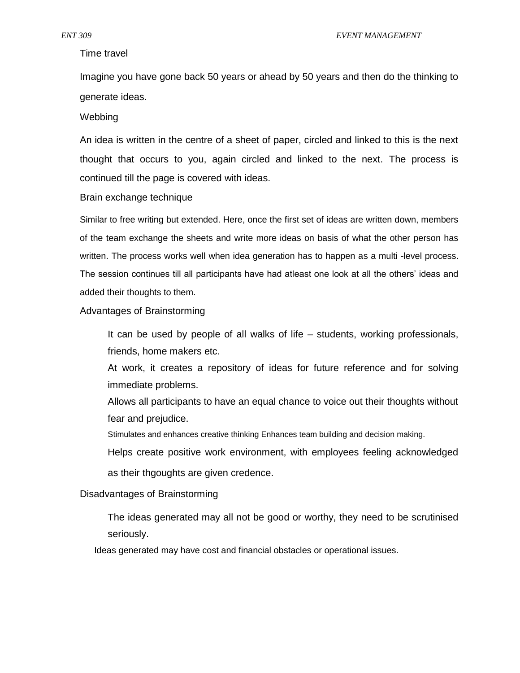#### Time travel

Imagine you have gone back 50 years or ahead by 50 years and then do the thinking to generate ideas.

#### **Webbing**

An idea is written in the centre of a sheet of paper, circled and linked to this is the next thought that occurs to you, again circled and linked to the next. The process is continued till the page is covered with ideas.

#### Brain exchange technique

Similar to free writing but extended. Here, once the first set of ideas are written down, members of the team exchange the sheets and write more ideas on basis of what the other person has written. The process works well when idea generation has to happen as a multi -level process. The session continues till all participants have had atleast one look at all the others' ideas and added their thoughts to them.

### Advantages of Brainstorming

It can be used by people of all walks of life – students, working professionals, friends, home makers etc.

At work, it creates a repository of ideas for future reference and for solving immediate problems.

Allows all participants to have an equal chance to voice out their thoughts without fear and prejudice.

Stimulates and enhances creative thinking Enhances team building and decision making.

Helps create positive work environment, with employees feeling acknowledged

as their thgoughts are given credence.

#### Disadvantages of Brainstorming

The ideas generated may all not be good or worthy, they need to be scrutinised seriously.

Ideas generated may have cost and financial obstacles or operational issues.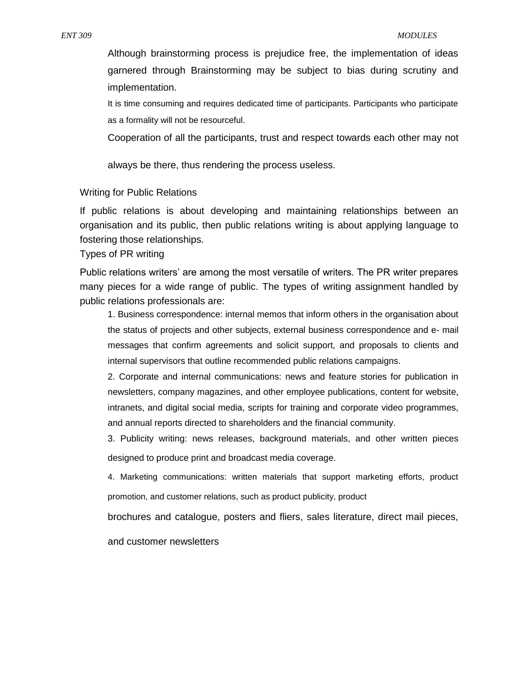Although brainstorming process is prejudice free, the implementation of ideas garnered through Brainstorming may be subject to bias during scrutiny and implementation.

It is time consuming and requires dedicated time of participants. Participants who participate as a formality will not be resourceful.

Cooperation of all the participants, trust and respect towards each other may not

always be there, thus rendering the process useless.

#### Writing for Public Relations

If public relations is about developing and maintaining relationships between an organisation and its public, then public relations writing is about applying language to fostering those relationships.

Types of PR writing

Public relations writers' are among the most versatile of writers. The PR writer prepares many pieces for a wide range of public. The types of writing assignment handled by public relations professionals are:

1. Business correspondence: internal memos that inform others in the organisation about the status of projects and other subjects, external business correspondence and e- mail messages that confirm agreements and solicit support, and proposals to clients and internal supervisors that outline recommended public relations campaigns.

2. Corporate and internal communications: news and feature stories for publication in newsletters, company magazines, and other employee publications, content for website, intranets, and digital social media, scripts for training and corporate video programmes, and annual reports directed to shareholders and the financial community.

3. Publicity writing: news releases, background materials, and other written pieces designed to produce print and broadcast media coverage.

4. Marketing communications: written materials that support marketing efforts, product promotion, and customer relations, such as product publicity, product

brochures and catalogue, posters and fliers, sales literature, direct mail pieces,

and customer newsletters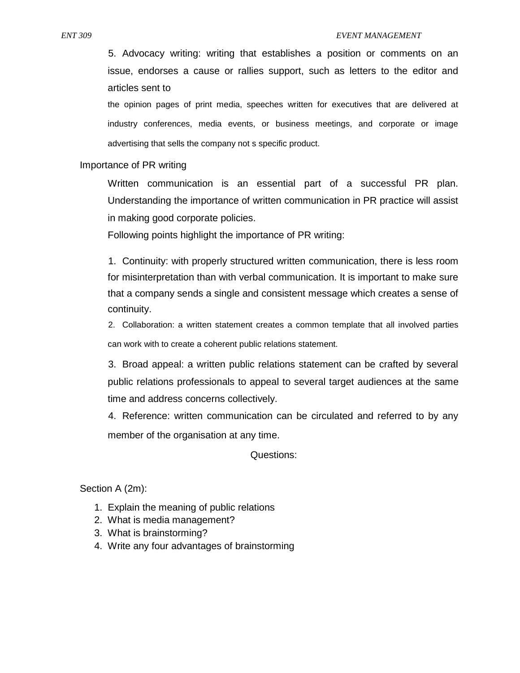5. Advocacy writing: writing that establishes a position or comments on an issue, endorses a cause or rallies support, such as letters to the editor and articles sent to

the opinion pages of print media, speeches written for executives that are delivered at industry conferences, media events, or business meetings, and corporate or image advertising that sells the company not s specific product.

#### Importance of PR writing

Written communication is an essential part of a successful PR plan. Understanding the importance of written communication in PR practice will assist in making good corporate policies.

Following points highlight the importance of PR writing:

1. Continuity: with properly structured written communication, there is less room for misinterpretation than with verbal communication. It is important to make sure that a company sends a single and consistent message which creates a sense of continuity.

2. Collaboration: a written statement creates a common template that all involved parties can work with to create a coherent public relations statement.

3. Broad appeal: a written public relations statement can be crafted by several public relations professionals to appeal to several target audiences at the same time and address concerns collectively.

4. Reference: written communication can be circulated and referred to by any member of the organisation at any time.

Questions:

Section A (2m):

- 1. Explain the meaning of public relations
- 2. What is media management?
- 3. What is brainstorming?
- 4. Write any four advantages of brainstorming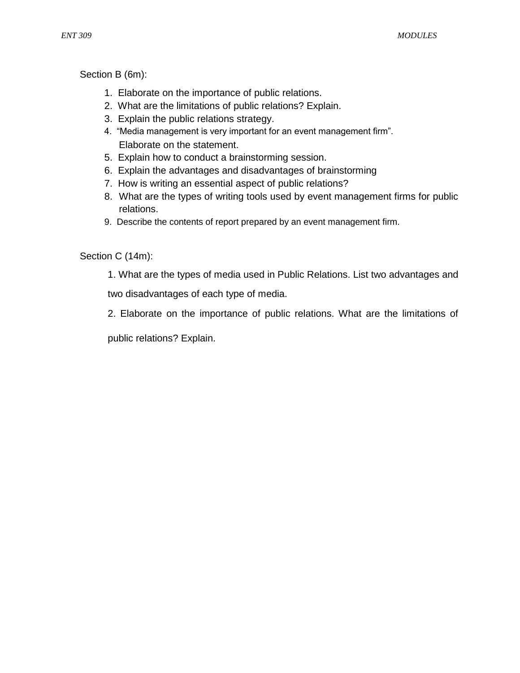Section B (6m):

- 1. Elaborate on the importance of public relations.
- 2. What are the limitations of public relations? Explain.
- 3. Explain the public relations strategy.
- 4. "Media management is very important for an event management firm". Elaborate on the statement.
- 5. Explain how to conduct a brainstorming session.
- 6. Explain the advantages and disadvantages of brainstorming
- 7. How is writing an essential aspect of public relations?
- 8. What are the types of writing tools used by event management firms for public relations.
- 9. Describe the contents of report prepared by an event management firm.

Section C (14m):

1. What are the types of media used in Public Relations. List two advantages and

two disadvantages of each type of media.

2. Elaborate on the importance of public relations. What are the limitations of

public relations? Explain.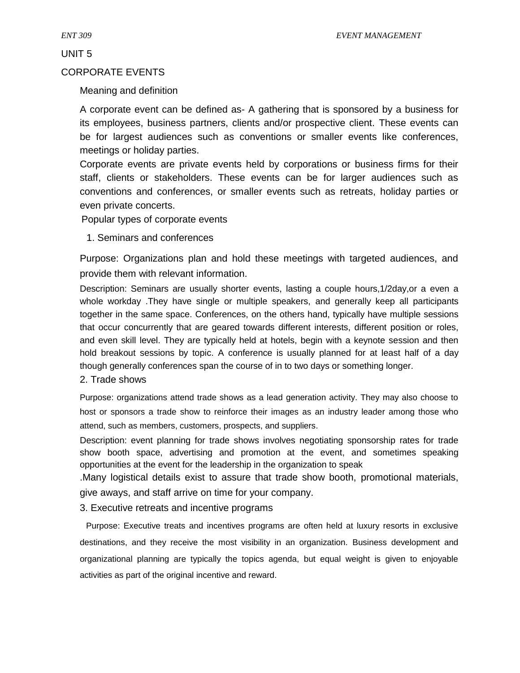UNIT 5

#### CORPORATE EVENTS

# Meaning and definition

A corporate event can be defined as- A gathering that is sponsored by a business for its employees, business partners, clients and/or prospective client. These events can be for largest audiences such as conventions or smaller events like conferences, meetings or holiday parties.

Corporate events are private events held by corporations or business firms for their staff, clients or stakeholders. These events can be for larger audiences such as conventions and conferences, or smaller events such as retreats, holiday parties or even private concerts.

Popular types of corporate events

1. Seminars and conferences

Purpose: Organizations plan and hold these meetings with targeted audiences, and provide them with relevant information.

Description: Seminars are usually shorter events, lasting a couple hours,1/2day,or a even a whole workday .They have single or multiple speakers, and generally keep all participants together in the same space. Conferences, on the others hand, typically have multiple sessions that occur concurrently that are geared towards different interests, different position or roles, and even skill level. They are typically held at hotels, begin with a keynote session and then hold breakout sessions by topic. A conference is usually planned for at least half of a day though generally conferences span the course of in to two days or something longer.

2. Trade shows

Purpose: organizations attend trade shows as a lead generation activity. They may also choose to host or sponsors a trade show to reinforce their images as an industry leader among those who attend, such as members, customers, prospects, and suppliers.

Description: event planning for trade shows involves negotiating sponsorship rates for trade show booth space, advertising and promotion at the event, and sometimes speaking opportunities at the event for the leadership in the organization to speak

.Many logistical details exist to assure that trade show booth, promotional materials, give aways, and staff arrive on time for your company.

3. Executive retreats and incentive programs

Purpose: Executive treats and incentives programs are often held at luxury resorts in exclusive destinations, and they receive the most visibility in an organization. Business development and organizational planning are typically the topics agenda, but equal weight is given to enjoyable activities as part of the original incentive and reward.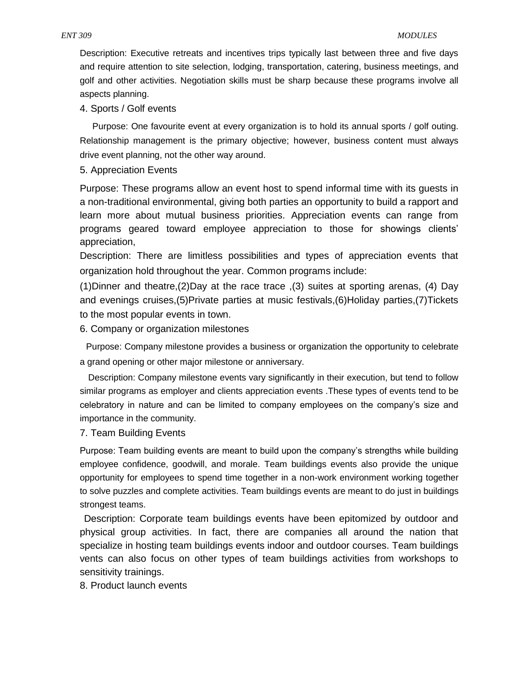Description: Executive retreats and incentives trips typically last between three and five days and require attention to site selection, lodging, transportation, catering, business meetings, and golf and other activities. Negotiation skills must be sharp because these programs involve all aspects planning.

#### 4. Sports / Golf events

Purpose: One favourite event at every organization is to hold its annual sports / golf outing. Relationship management is the primary objective; however, business content must always drive event planning, not the other way around.

5. Appreciation Events

Purpose: These programs allow an event host to spend informal time with its guests in a non-traditional environmental, giving both parties an opportunity to build a rapport and learn more about mutual business priorities. Appreciation events can range from programs geared toward employee appreciation to those for showings clients' appreciation,

Description: There are limitless possibilities and types of appreciation events that organization hold throughout the year. Common programs include:

(1)Dinner and theatre,(2)Day at the race trace ,(3) suites at sporting arenas, (4) Day and evenings cruises,(5)Private parties at music festivals,(6)Holiday parties,(7)Tickets to the most popular events in town.

6. Company or organization milestones

Purpose: Company milestone provides a business or organization the opportunity to celebrate a grand opening or other major milestone or anniversary.

Description: Company milestone events vary significantly in their execution, but tend to follow similar programs as employer and clients appreciation events .These types of events tend to be celebratory in nature and can be limited to company employees on the company's size and importance in the community.

7. Team Building Events

Purpose: Team building events are meant to build upon the company's strengths while building employee confidence, goodwill, and morale. Team buildings events also provide the unique opportunity for employees to spend time together in a non-work environment working together to solve puzzles and complete activities. Team buildings events are meant to do just in buildings strongest teams.

Description: Corporate team buildings events have been epitomized by outdoor and physical group activities. In fact, there are companies all around the nation that specialize in hosting team buildings events indoor and outdoor courses. Team buildings vents can also focus on other types of team buildings activities from workshops to sensitivity trainings.

8. Product launch events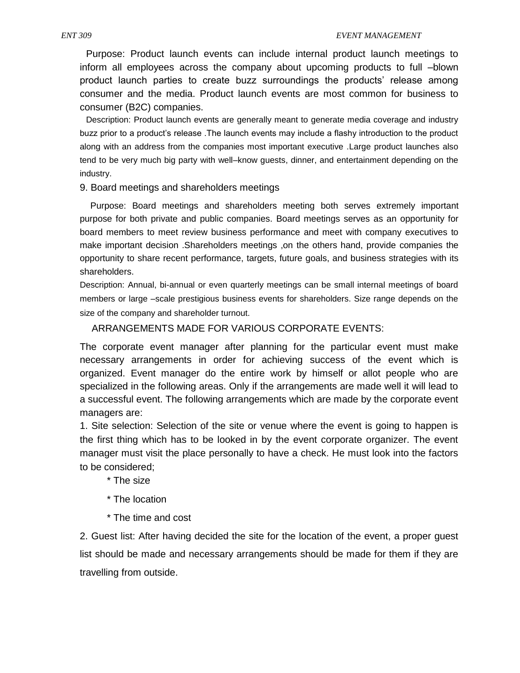Purpose: Product launch events can include internal product launch meetings to inform all employees across the company about upcoming products to full –blown product launch parties to create buzz surroundings the products' release among consumer and the media. Product launch events are most common for business to consumer (B2C) companies.

Description: Product launch events are generally meant to generate media coverage and industry buzz prior to a product's release .The launch events may include a flashy introduction to the product along with an address from the companies most important executive .Large product launches also tend to be very much big party with well–know guests, dinner, and entertainment depending on the industry.

9. Board meetings and shareholders meetings

Purpose: Board meetings and shareholders meeting both serves extremely important purpose for both private and public companies. Board meetings serves as an opportunity for board members to meet review business performance and meet with company executives to make important decision .Shareholders meetings ,on the others hand, provide companies the opportunity to share recent performance, targets, future goals, and business strategies with its shareholders.

Description: Annual, bi-annual or even quarterly meetings can be small internal meetings of board members or large –scale prestigious business events for shareholders. Size range depends on the size of the company and shareholder turnout.

ARRANGEMENTS MADE FOR VARIOUS CORPORATE EVENTS:

The corporate event manager after planning for the particular event must make necessary arrangements in order for achieving success of the event which is organized. Event manager do the entire work by himself or allot people who are specialized in the following areas. Only if the arrangements are made well it will lead to a successful event. The following arrangements which are made by the corporate event managers are:

1. Site selection: Selection of the site or venue where the event is going to happen is the first thing which has to be looked in by the event corporate organizer. The event manager must visit the place personally to have a check. He must look into the factors to be considered;

- \* The size
- \* The location
- \* The time and cost

2. Guest list: After having decided the site for the location of the event, a proper guest list should be made and necessary arrangements should be made for them if they are travelling from outside.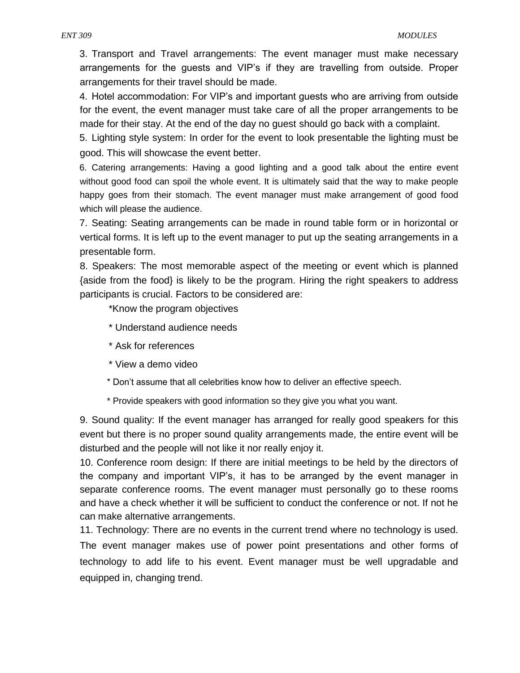3. Transport and Travel arrangements: The event manager must make necessary arrangements for the guests and VIP's if they are travelling from outside. Proper arrangements for their travel should be made.

4. Hotel accommodation: For VIP's and important guests who are arriving from outside for the event, the event manager must take care of all the proper arrangements to be made for their stay. At the end of the day no guest should go back with a complaint.

5. Lighting style system: In order for the event to look presentable the lighting must be good. This will showcase the event better.

6. Catering arrangements: Having a good lighting and a good talk about the entire event without good food can spoil the whole event. It is ultimately said that the way to make people happy goes from their stomach. The event manager must make arrangement of good food which will please the audience.

7. Seating: Seating arrangements can be made in round table form or in horizontal or vertical forms. It is left up to the event manager to put up the seating arrangements in a presentable form.

8. Speakers: The most memorable aspect of the meeting or event which is planned {aside from the food} is likely to be the program. Hiring the right speakers to address participants is crucial. Factors to be considered are:

\*Know the program objectives

- \* Understand audience needs
- \* Ask for references
- \* View a demo video
- \* Don't assume that all celebrities know how to deliver an effective speech.
- \* Provide speakers with good information so they give you what you want.

9. Sound quality: If the event manager has arranged for really good speakers for this event but there is no proper sound quality arrangements made, the entire event will be disturbed and the people will not like it nor really enjoy it.

10. Conference room design: If there are initial meetings to be held by the directors of the company and important VIP's, it has to be arranged by the event manager in separate conference rooms. The event manager must personally go to these rooms and have a check whether it will be sufficient to conduct the conference or not. If not he can make alternative arrangements.

11. Technology: There are no events in the current trend where no technology is used. The event manager makes use of power point presentations and other forms of technology to add life to his event. Event manager must be well upgradable and equipped in, changing trend.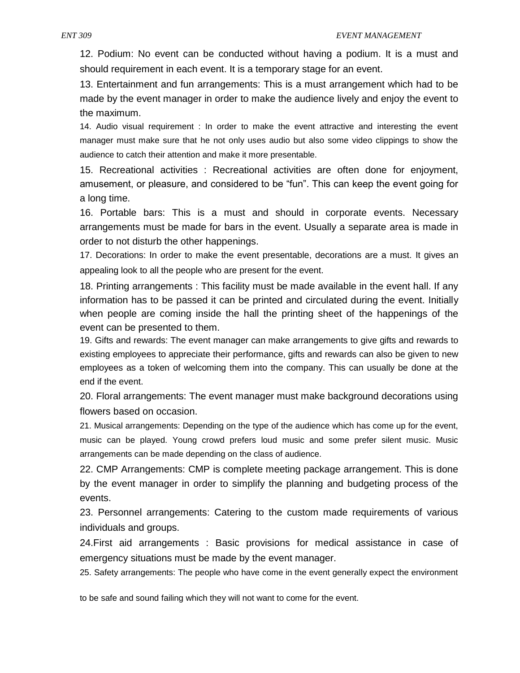12. Podium: No event can be conducted without having a podium. It is a must and should requirement in each event. It is a temporary stage for an event.

13. Entertainment and fun arrangements: This is a must arrangement which had to be made by the event manager in order to make the audience lively and enjoy the event to the maximum.

14. Audio visual requirement : In order to make the event attractive and interesting the event manager must make sure that he not only uses audio but also some video clippings to show the audience to catch their attention and make it more presentable.

15. Recreational activities : Recreational activities are often done for enjoyment, amusement, or pleasure, and considered to be "fun". This can keep the event going for a long time.

16. Portable bars: This is a must and should in corporate events. Necessary arrangements must be made for bars in the event. Usually a separate area is made in order to not disturb the other happenings.

17. Decorations: In order to make the event presentable, decorations are a must. It gives an appealing look to all the people who are present for the event.

18. Printing arrangements : This facility must be made available in the event hall. If any information has to be passed it can be printed and circulated during the event. Initially when people are coming inside the hall the printing sheet of the happenings of the event can be presented to them.

19. Gifts and rewards: The event manager can make arrangements to give gifts and rewards to existing employees to appreciate their performance, gifts and rewards can also be given to new employees as a token of welcoming them into the company. This can usually be done at the end if the event.

20. Floral arrangements: The event manager must make background decorations using flowers based on occasion.

21. Musical arrangements: Depending on the type of the audience which has come up for the event, music can be played. Young crowd prefers loud music and some prefer silent music. Music arrangements can be made depending on the class of audience.

22. CMP Arrangements: CMP is complete meeting package arrangement. This is done by the event manager in order to simplify the planning and budgeting process of the events.

23. Personnel arrangements: Catering to the custom made requirements of various individuals and groups.

24.First aid arrangements : Basic provisions for medical assistance in case of emergency situations must be made by the event manager.

25. Safety arrangements: The people who have come in the event generally expect the environment

to be safe and sound failing which they will not want to come for the event.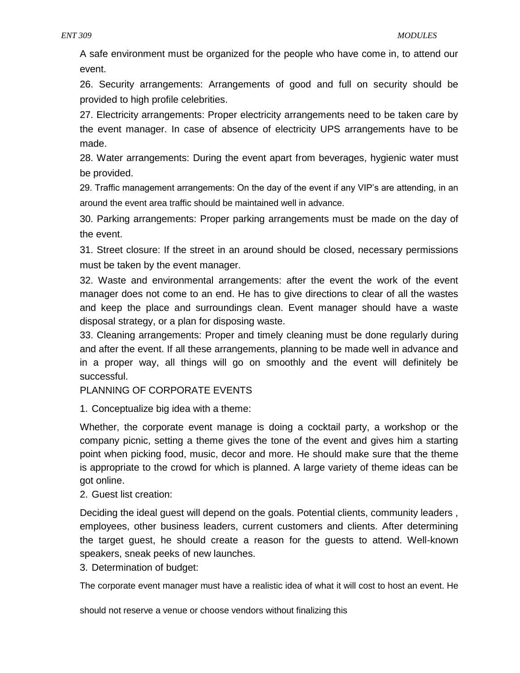A safe environment must be organized for the people who have come in, to attend our event.

26. Security arrangements: Arrangements of good and full on security should be provided to high profile celebrities.

27. Electricity arrangements: Proper electricity arrangements need to be taken care by the event manager. In case of absence of electricity UPS arrangements have to be made.

28. Water arrangements: During the event apart from beverages, hygienic water must be provided.

29. Traffic management arrangements: On the day of the event if any VIP's are attending, in an around the event area traffic should be maintained well in advance.

30. Parking arrangements: Proper parking arrangements must be made on the day of the event.

31. Street closure: If the street in an around should be closed, necessary permissions must be taken by the event manager.

32. Waste and environmental arrangements: after the event the work of the event manager does not come to an end. He has to give directions to clear of all the wastes and keep the place and surroundings clean. Event manager should have a waste disposal strategy, or a plan for disposing waste.

33. Cleaning arrangements: Proper and timely cleaning must be done regularly during and after the event. If all these arrangements, planning to be made well in advance and in a proper way, all things will go on smoothly and the event will definitely be successful.

PLANNING OF CORPORATE EVENTS

1. Conceptualize big idea with a theme:

Whether, the corporate event manage is doing a cocktail party, a workshop or the company picnic, setting a theme gives the tone of the event and gives him a starting point when picking food, music, decor and more. He should make sure that the theme is appropriate to the crowd for which is planned. A large variety of theme ideas can be got online.

# 2. Guest list creation:

Deciding the ideal guest will depend on the goals. Potential clients, community leaders , employees, other business leaders, current customers and clients. After determining the target guest, he should create a reason for the guests to attend. Well-known speakers, sneak peeks of new launches.

3. Determination of budget:

The corporate event manager must have a realistic idea of what it will cost to host an event. He

should not reserve a venue or choose vendors without finalizing this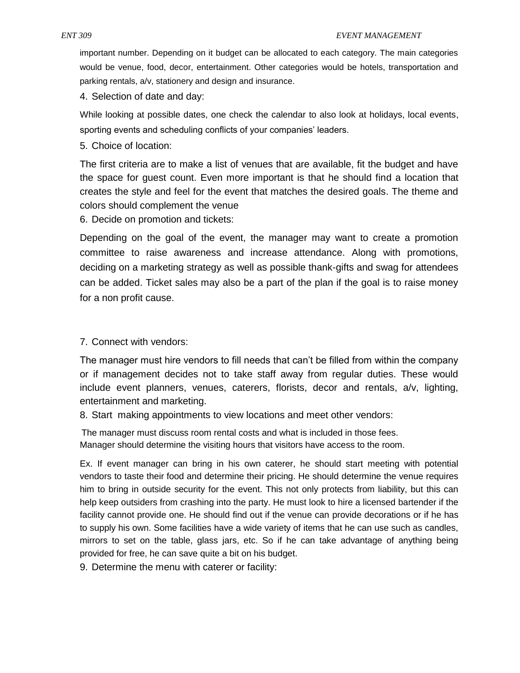important number. Depending on it budget can be allocated to each category. The main categories would be venue, food, decor, entertainment. Other categories would be hotels, transportation and parking rentals, a/v, stationery and design and insurance.

4. Selection of date and day:

While looking at possible dates, one check the calendar to also look at holidays, local events, sporting events and scheduling conflicts of your companies' leaders.

5. Choice of location:

The first criteria are to make a list of venues that are available, fit the budget and have the space for guest count. Even more important is that he should find a location that creates the style and feel for the event that matches the desired goals. The theme and colors should complement the venue

6. Decide on promotion and tickets:

Depending on the goal of the event, the manager may want to create a promotion committee to raise awareness and increase attendance. Along with promotions, deciding on a marketing strategy as well as possible thank-gifts and swag for attendees can be added. Ticket sales may also be a part of the plan if the goal is to raise money for a non profit cause.

# 7. Connect with vendors:

The manager must hire vendors to fill needs that can't be filled from within the company or if management decides not to take staff away from regular duties. These would include event planners, venues, caterers, florists, decor and rentals, a/v, lighting, entertainment and marketing.

8. Start making appointments to view locations and meet other vendors:

The manager must discuss room rental costs and what is included in those fees. Manager should determine the visiting hours that visitors have access to the room.

Ex. If event manager can bring in his own caterer, he should start meeting with potential vendors to taste their food and determine their pricing. He should determine the venue requires him to bring in outside security for the event. This not only protects from liability, but this can help keep outsiders from crashing into the party. He must look to hire a licensed bartender if the facility cannot provide one. He should find out if the venue can provide decorations or if he has to supply his own. Some facilities have a wide variety of items that he can use such as candles, mirrors to set on the table, glass jars, etc. So if he can take advantage of anything being provided for free, he can save quite a bit on his budget.

9. Determine the menu with caterer or facility: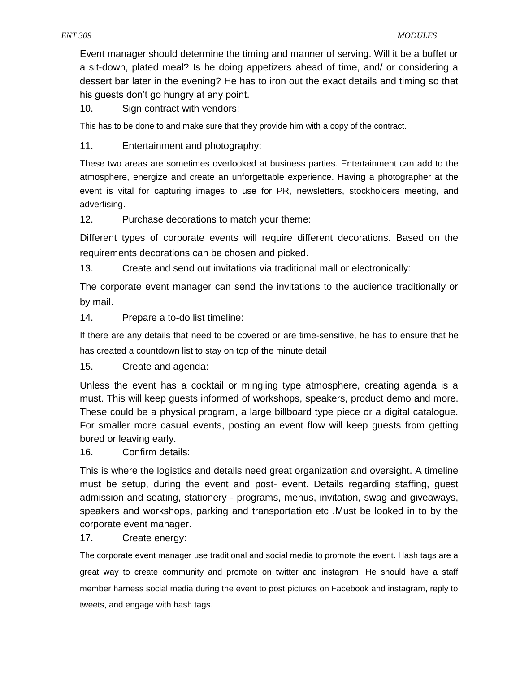Event manager should determine the timing and manner of serving. Will it be a buffet or a sit-down, plated meal? Is he doing appetizers ahead of time, and/ or considering a dessert bar later in the evening? He has to iron out the exact details and timing so that his guests don't go hungry at any point.

10. Sign contract with vendors:

This has to be done to and make sure that they provide him with a copy of the contract.

11. Entertainment and photography:

These two areas are sometimes overlooked at business parties. Entertainment can add to the atmosphere, energize and create an unforgettable experience. Having a photographer at the event is vital for capturing images to use for PR, newsletters, stockholders meeting, and advertising.

12. Purchase decorations to match your theme:

Different types of corporate events will require different decorations. Based on the requirements decorations can be chosen and picked.

13. Create and send out invitations via traditional mall or electronically:

The corporate event manager can send the invitations to the audience traditionally or by mail.

14. Prepare a to-do list timeline:

If there are any details that need to be covered or are time-sensitive, he has to ensure that he has created a countdown list to stay on top of the minute detail

15. Create and agenda:

Unless the event has a cocktail or mingling type atmosphere, creating agenda is a must. This will keep guests informed of workshops, speakers, product demo and more. These could be a physical program, a large billboard type piece or a digital catalogue. For smaller more casual events, posting an event flow will keep guests from getting bored or leaving early.

16. Confirm details:

This is where the logistics and details need great organization and oversight. A timeline must be setup, during the event and post- event. Details regarding staffing, guest admission and seating, stationery - programs, menus, invitation, swag and giveaways, speakers and workshops, parking and transportation etc .Must be looked in to by the corporate event manager.

17. Create energy:

The corporate event manager use traditional and social media to promote the event. Hash tags are a great way to create community and promote on twitter and instagram. He should have a staff member harness social media during the event to post pictures on Facebook and instagram, reply to tweets, and engage with hash tags.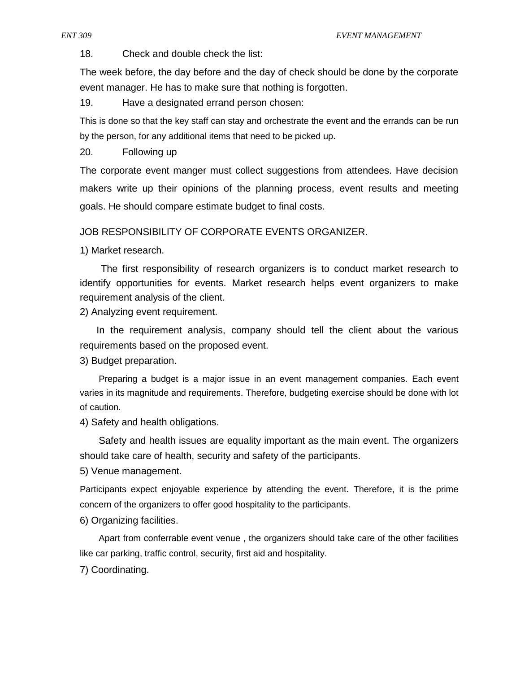18. Check and double check the list:

The week before, the day before and the day of check should be done by the corporate event manager. He has to make sure that nothing is forgotten.

19. Have a designated errand person chosen:

This is done so that the key staff can stay and orchestrate the event and the errands can be run by the person, for any additional items that need to be picked up.

20. Following up

The corporate event manger must collect suggestions from attendees. Have decision makers write up their opinions of the planning process, event results and meeting goals. He should compare estimate budget to final costs.

JOB RESPONSIBILITY OF CORPORATE EVENTS ORGANIZER.

1) Market research.

The first responsibility of research organizers is to conduct market research to identify opportunities for events. Market research helps event organizers to make requirement analysis of the client.

2) Analyzing event requirement.

In the requirement analysis, company should tell the client about the various requirements based on the proposed event.

3) Budget preparation.

Preparing a budget is a major issue in an event management companies. Each event varies in its magnitude and requirements. Therefore, budgeting exercise should be done with lot of caution.

4) Safety and health obligations.

Safety and health issues are equality important as the main event. The organizers should take care of health, security and safety of the participants.

5) Venue management.

Participants expect enjoyable experience by attending the event. Therefore, it is the prime concern of the organizers to offer good hospitality to the participants.

6) Organizing facilities.

Apart from conferrable event venue , the organizers should take care of the other facilities like car parking, traffic control, security, first aid and hospitality.

7) Coordinating.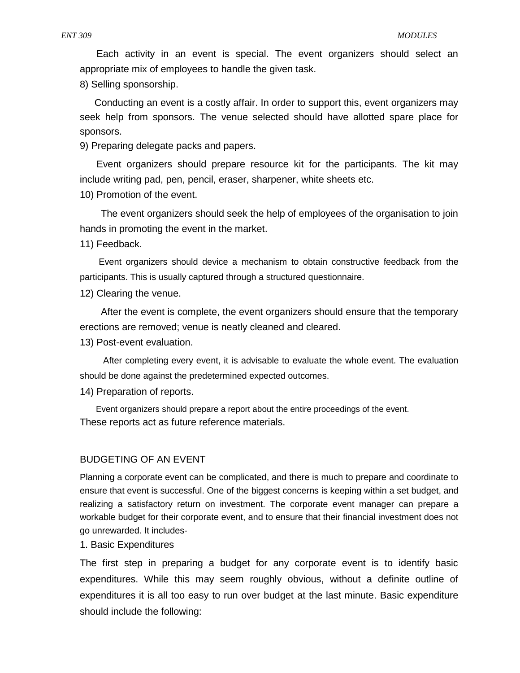Each activity in an event is special. The event organizers should select an appropriate mix of employees to handle the given task.

8) Selling sponsorship.

Conducting an event is a costly affair. In order to support this, event organizers may seek help from sponsors. The venue selected should have allotted spare place for sponsors.

9) Preparing delegate packs and papers.

Event organizers should prepare resource kit for the participants. The kit may include writing pad, pen, pencil, eraser, sharpener, white sheets etc.

10) Promotion of the event.

The event organizers should seek the help of employees of the organisation to join hands in promoting the event in the market.

11) Feedback.

Event organizers should device a mechanism to obtain constructive feedback from the participants. This is usually captured through a structured questionnaire.

12) Clearing the venue.

After the event is complete, the event organizers should ensure that the temporary erections are removed; venue is neatly cleaned and cleared.

13) Post-event evaluation.

After completing every event, it is advisable to evaluate the whole event. The evaluation should be done against the predetermined expected outcomes.

14) Preparation of reports.

Event organizers should prepare a report about the entire proceedings of the event. These reports act as future reference materials.

#### BUDGETING OF AN EVENT

Planning a corporate event can be complicated, and there is much to prepare and coordinate to ensure that event is successful. One of the biggest concerns is keeping within a set budget, and realizing a satisfactory return on investment. The corporate event manager can prepare a workable budget for their corporate event, and to ensure that their financial investment does not go unrewarded. It includes-

1. Basic Expenditures

The first step in preparing a budget for any corporate event is to identify basic expenditures. While this may seem roughly obvious, without a definite outline of expenditures it is all too easy to run over budget at the last minute. Basic expenditure should include the following: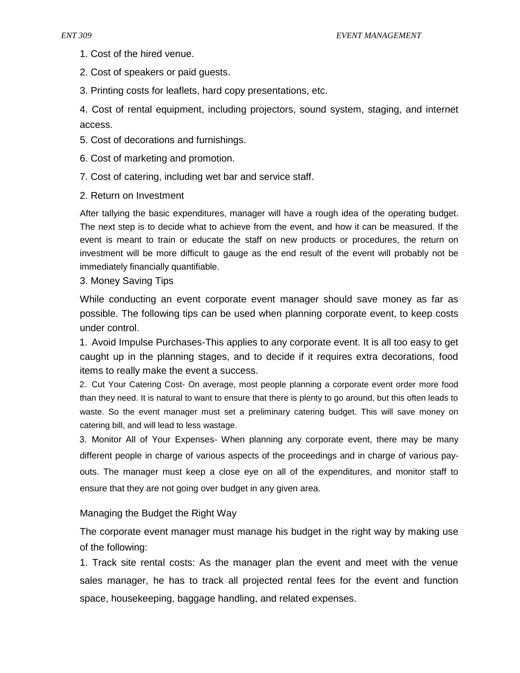- 1. Cost of the hired venue.
- 2. Cost of speakers or paid guests.
- 3. Printing costs for leaflets, hard copy presentations, etc.

4. Cost of rental equipment, including projectors, sound system, staging, and internet access.

- 5. Cost of decorations and furnishings.
- 6. Cost of marketing and promotion.
- 7. Cost of catering, including wet bar and service staff.
- 2. Return on Investment

After tallying the basic expenditures, manager will have a rough idea of the operating budget. The next step is to decide what to achieve from the event, and how it can be measured. If the event is meant to train or educate the staff on new products or procedures, the return on investment will be more difficult to gauge as the end result of the event will probably not be immediately financially quantifiable.

3. Money Saving Tips

While conducting an event corporate event manager should save money as far as possible. The following tips can be used when planning corporate event, to keep costs under control.

1. Avoid Impulse Purchases-This applies to any corporate event. It is all too easy to get caught up in the planning stages, and to decide if it requires extra decorations, food items to really make the event a success.

2. Cut Your Catering Cost- On average, most people planning a corporate event order more food than they need. It is natural to want to ensure that there is plenty to go around, but this often leads to waste. So the event manager must set a preliminary catering budget. This will save money on catering bill, and will lead to less wastage.

3. Monitor All of Your Expenses- When planning any corporate event, there may be many different people in charge of various aspects of the proceedings and in charge of various payouts. The manager must keep a close eye on all of the expenditures, and monitor staff to ensure that they are not going over budget in any given area.

# Managing the Budget the Right Way

The corporate event manager must manage his budget in the right way by making use of the following:

1. Track site rental costs: As the manager plan the event and meet with the venue sales manager, he has to track all projected rental fees for the event and function space, housekeeping, baggage handling, and related expenses.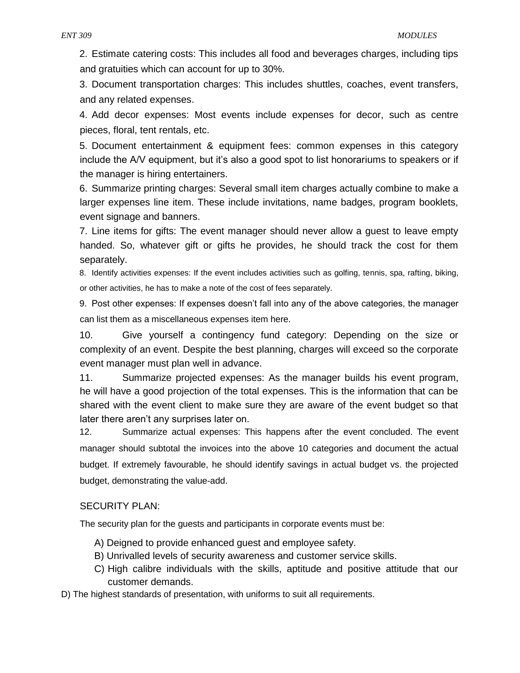2. Estimate catering costs: This includes all food and beverages charges, including tips and gratuities which can account for up to 30%.

3. Document transportation charges: This includes shuttles, coaches, event transfers, and any related expenses.

4. Add decor expenses: Most events include expenses for decor, such as centre pieces, floral, tent rentals, etc.

5. Document entertainment & equipment fees: common expenses in this category include the A/V equipment, but it's also a good spot to list honorariums to speakers or if the manager is hiring entertainers.

6. Summarize printing charges: Several small item charges actually combine to make a larger expenses line item. These include invitations, name badges, program booklets, event signage and banners.

7. Line items for gifts: The event manager should never allow a guest to leave empty handed. So, whatever gift or gifts he provides, he should track the cost for them separately.

8. Identify activities expenses: If the event includes activities such as golfing, tennis, spa, rafting, biking, or other activities, he has to make a note of the cost of fees separately.

9. Post other expenses: If expenses doesn't fall into any of the above categories, the manager can list them as a miscellaneous expenses item here.

10. Give yourself a contingency fund category: Depending on the size or complexity of an event. Despite the best planning, charges will exceed so the corporate event manager must plan well in advance.

11. Summarize projected expenses: As the manager builds his event program, he will have a good projection of the total expenses. This is the information that can be shared with the event client to make sure they are aware of the event budget so that later there aren't any surprises later on.

12. Summarize actual expenses: This happens after the event concluded. The event manager should subtotal the invoices into the above 10 categories and document the actual budget. If extremely favourable, he should identify savings in actual budget vs. the projected budget, demonstrating the value-add.

# SECURITY PLAN:

The security plan for the guests and participants in corporate events must be:

- A) Deigned to provide enhanced guest and employee safety.
- B) Unrivalled levels of security awareness and customer service skills.
- C) High calibre individuals with the skills, aptitude and positive attitude that our customer demands.
- D) The highest standards of presentation, with uniforms to suit all requirements.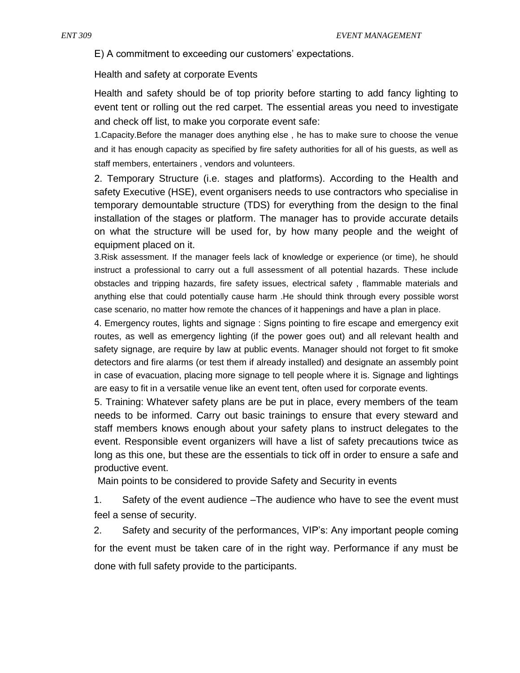E) A commitment to exceeding our customers' expectations.

Health and safety at corporate Events

Health and safety should be of top priority before starting to add fancy lighting to event tent or rolling out the red carpet. The essential areas you need to investigate and check off list, to make you corporate event safe:

1.Capacity.Before the manager does anything else , he has to make sure to choose the venue and it has enough capacity as specified by fire safety authorities for all of his guests, as well as staff members, entertainers , vendors and volunteers.

2. Temporary Structure (i.e. stages and platforms). According to the Health and safety Executive (HSE), event organisers needs to use contractors who specialise in temporary demountable structure (TDS) for everything from the design to the final installation of the stages or platform. The manager has to provide accurate details on what the structure will be used for, by how many people and the weight of equipment placed on it.

3.Risk assessment. If the manager feels lack of knowledge or experience (or time), he should instruct a professional to carry out a full assessment of all potential hazards. These include obstacles and tripping hazards, fire safety issues, electrical safety , flammable materials and anything else that could potentially cause harm .He should think through every possible worst case scenario, no matter how remote the chances of it happenings and have a plan in place.

4. Emergency routes, lights and signage : Signs pointing to fire escape and emergency exit routes, as well as emergency lighting (if the power goes out) and all relevant health and safety signage, are require by law at public events. Manager should not forget to fit smoke detectors and fire alarms (or test them if already installed) and designate an assembly point in case of evacuation, placing more signage to tell people where it is. Signage and lightings are easy to fit in a versatile venue like an event tent, often used for corporate events.

5. Training: Whatever safety plans are be put in place, every members of the team needs to be informed. Carry out basic trainings to ensure that every steward and staff members knows enough about your safety plans to instruct delegates to the event. Responsible event organizers will have a list of safety precautions twice as long as this one, but these are the essentials to tick off in order to ensure a safe and productive event.

Main points to be considered to provide Safety and Security in events

1. Safety of the event audience –The audience who have to see the event must feel a sense of security.

2. Safety and security of the performances, VIP's: Any important people coming for the event must be taken care of in the right way. Performance if any must be done with full safety provide to the participants.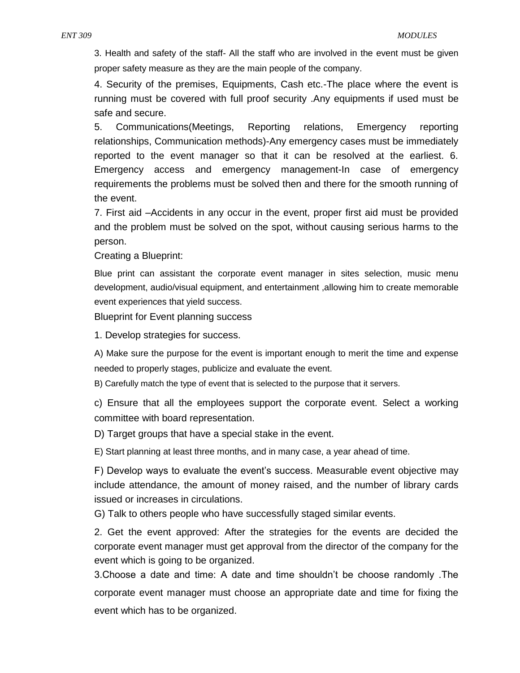3. Health and safety of the staff- All the staff who are involved in the event must be given proper safety measure as they are the main people of the company.

4. Security of the premises, Equipments, Cash etc.-The place where the event is running must be covered with full proof security .Any equipments if used must be safe and secure.

5. Communications(Meetings, Reporting relations, Emergency reporting relationships, Communication methods)-Any emergency cases must be immediately reported to the event manager so that it can be resolved at the earliest. 6. Emergency access and emergency management-In case of emergency requirements the problems must be solved then and there for the smooth running of the event.

7. First aid –Accidents in any occur in the event, proper first aid must be provided and the problem must be solved on the spot, without causing serious harms to the person.

Creating a Blueprint:

Blue print can assistant the corporate event manager in sites selection, music menu development, audio/visual equipment, and entertainment ,allowing him to create memorable event experiences that yield success.

Blueprint for Event planning success

1. Develop strategies for success.

A) Make sure the purpose for the event is important enough to merit the time and expense needed to properly stages, publicize and evaluate the event.

B) Carefully match the type of event that is selected to the purpose that it servers.

c) Ensure that all the employees support the corporate event. Select a working committee with board representation.

D) Target groups that have a special stake in the event.

E) Start planning at least three months, and in many case, a year ahead of time.

F) Develop ways to evaluate the event's success. Measurable event objective may include attendance, the amount of money raised, and the number of library cards issued or increases in circulations.

G) Talk to others people who have successfully staged similar events.

2. Get the event approved: After the strategies for the events are decided the corporate event manager must get approval from the director of the company for the event which is going to be organized.

3.Choose a date and time: A date and time shouldn't be choose randomly .The corporate event manager must choose an appropriate date and time for fixing the event which has to be organized.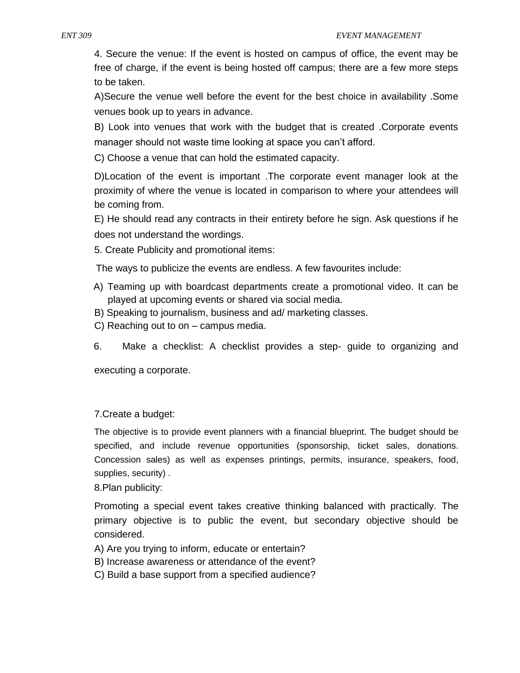4. Secure the venue: If the event is hosted on campus of office, the event may be free of charge, if the event is being hosted off campus; there are a few more steps to be taken.

A)Secure the venue well before the event for the best choice in availability .Some venues book up to years in advance.

B) Look into venues that work with the budget that is created .Corporate events manager should not waste time looking at space you can't afford.

C) Choose a venue that can hold the estimated capacity.

D)Location of the event is important .The corporate event manager look at the proximity of where the venue is located in comparison to where your attendees will be coming from.

E) He should read any contracts in their entirety before he sign. Ask questions if he does not understand the wordings.

5. Create Publicity and promotional items:

The ways to publicize the events are endless. A few favourites include:

- A) Teaming up with boardcast departments create a promotional video. It can be played at upcoming events or shared via social media.
- B) Speaking to journalism, business and ad/ marketing classes.
- C) Reaching out to on campus media.
- 6. Make a checklist: A checklist provides a step- guide to organizing and

executing a corporate.

# 7.Create a budget:

The objective is to provide event planners with a financial blueprint. The budget should be specified, and include revenue opportunities (sponsorship, ticket sales, donations. Concession sales) as well as expenses printings, permits, insurance, speakers, food, supplies, security) .

8.Plan publicity:

Promoting a special event takes creative thinking balanced with practically. The primary objective is to public the event, but secondary objective should be considered.

- A) Are you trying to inform, educate or entertain?
- B) Increase awareness or attendance of the event?
- C) Build a base support from a specified audience?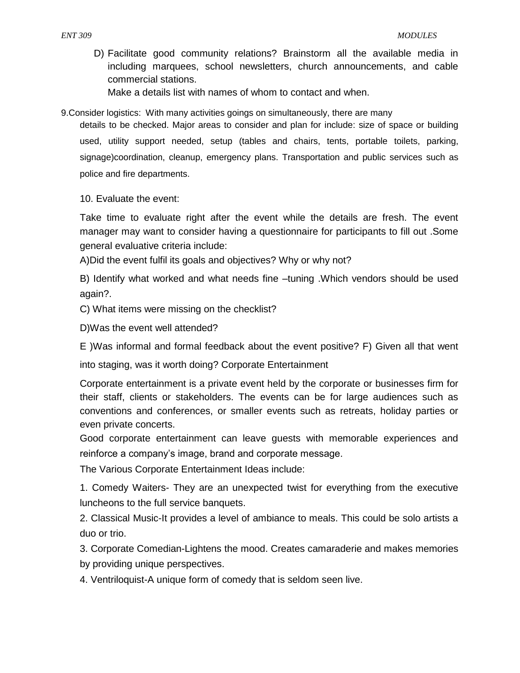D) Facilitate good community relations? Brainstorm all the available media in including marquees, school newsletters, church announcements, and cable commercial stations.

Make a details list with names of whom to contact and when.

9.Consider logistics: With many activities goings on simultaneously, there are many

details to be checked. Major areas to consider and plan for include: size of space or building used, utility support needed, setup (tables and chairs, tents, portable toilets, parking, signage)coordination, cleanup, emergency plans. Transportation and public services such as police and fire departments.

10. Evaluate the event:

Take time to evaluate right after the event while the details are fresh. The event manager may want to consider having a questionnaire for participants to fill out .Some general evaluative criteria include:

A)Did the event fulfil its goals and objectives? Why or why not?

B) Identify what worked and what needs fine –tuning .Which vendors should be used again?.

C) What items were missing on the checklist?

D)Was the event well attended?

E )Was informal and formal feedback about the event positive? F) Given all that went

into staging, was it worth doing? Corporate Entertainment

Corporate entertainment is a private event held by the corporate or businesses firm for their staff, clients or stakeholders. The events can be for large audiences such as conventions and conferences, or smaller events such as retreats, holiday parties or even private concerts.

Good corporate entertainment can leave guests with memorable experiences and reinforce a company's image, brand and corporate message.

The Various Corporate Entertainment Ideas include:

1. Comedy Waiters- They are an unexpected twist for everything from the executive luncheons to the full service banquets.

2. Classical Music-It provides a level of ambiance to meals. This could be solo artists a duo or trio.

3. Corporate Comedian-Lightens the mood. Creates camaraderie and makes memories by providing unique perspectives.

4. Ventriloquist-A unique form of comedy that is seldom seen live.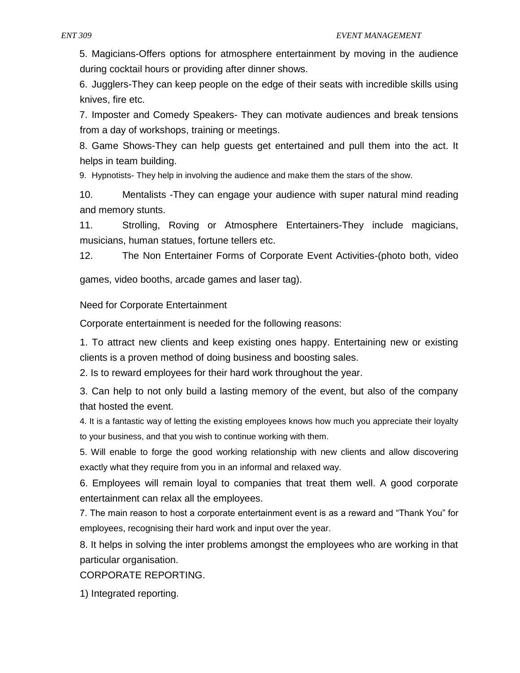5. Magicians-Offers options for atmosphere entertainment by moving in the audience during cocktail hours or providing after dinner shows.

6. Jugglers-They can keep people on the edge of their seats with incredible skills using knives, fire etc.

7. Imposter and Comedy Speakers- They can motivate audiences and break tensions from a day of workshops, training or meetings.

8. Game Shows-They can help guests get entertained and pull them into the act. It helps in team building.

9. Hypnotists- They help in involving the audience and make them the stars of the show.

10. Mentalists -They can engage your audience with super natural mind reading and memory stunts.

11. Strolling, Roving or Atmosphere Entertainers-They include magicians, musicians, human statues, fortune tellers etc.

12. The Non Entertainer Forms of Corporate Event Activities-(photo both, video

games, video booths, arcade games and laser tag).

Need for Corporate Entertainment

Corporate entertainment is needed for the following reasons:

1. To attract new clients and keep existing ones happy. Entertaining new or existing clients is a proven method of doing business and boosting sales.

2. Is to reward employees for their hard work throughout the year.

3. Can help to not only build a lasting memory of the event, but also of the company that hosted the event.

4. It is a fantastic way of letting the existing employees knows how much you appreciate their loyalty to your business, and that you wish to continue working with them.

5. Will enable to forge the good working relationship with new clients and allow discovering exactly what they require from you in an informal and relaxed way.

6. Employees will remain loyal to companies that treat them well. A good corporate entertainment can relax all the employees.

7. The main reason to host a corporate entertainment event is as a reward and "Thank You" for employees, recognising their hard work and input over the year.

8. It helps in solving the inter problems amongst the employees who are working in that particular organisation.

CORPORATE REPORTING.

1) Integrated reporting.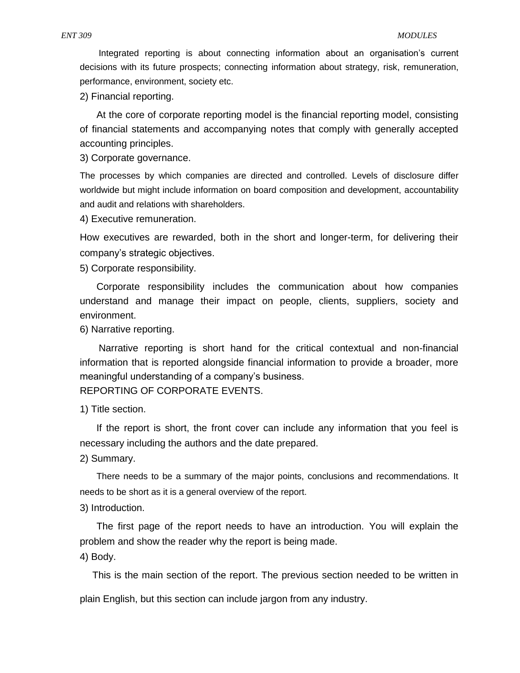Integrated reporting is about connecting information about an organisation's current decisions with its future prospects; connecting information about strategy, risk, remuneration, performance, environment, society etc.

2) Financial reporting.

At the core of corporate reporting model is the financial reporting model, consisting of financial statements and accompanying notes that comply with generally accepted accounting principles.

3) Corporate governance.

The processes by which companies are directed and controlled. Levels of disclosure differ worldwide but might include information on board composition and development, accountability and audit and relations with shareholders.

4) Executive remuneration.

How executives are rewarded, both in the short and longer-term, for delivering their company's strategic objectives.

5) Corporate responsibility.

Corporate responsibility includes the communication about how companies understand and manage their impact on people, clients, suppliers, society and environment.

6) Narrative reporting.

Narrative reporting is short hand for the critical contextual and non-financial information that is reported alongside financial information to provide a broader, more meaningful understanding of a company's business.

REPORTING OF CORPORATE EVENTS.

1) Title section.

If the report is short, the front cover can include any information that you feel is necessary including the authors and the date prepared.

2) Summary.

There needs to be a summary of the major points, conclusions and recommendations. It needs to be short as it is a general overview of the report.

3) Introduction.

The first page of the report needs to have an introduction. You will explain the problem and show the reader why the report is being made.

4) Body.

This is the main section of the report. The previous section needed to be written in

plain English, but this section can include jargon from any industry.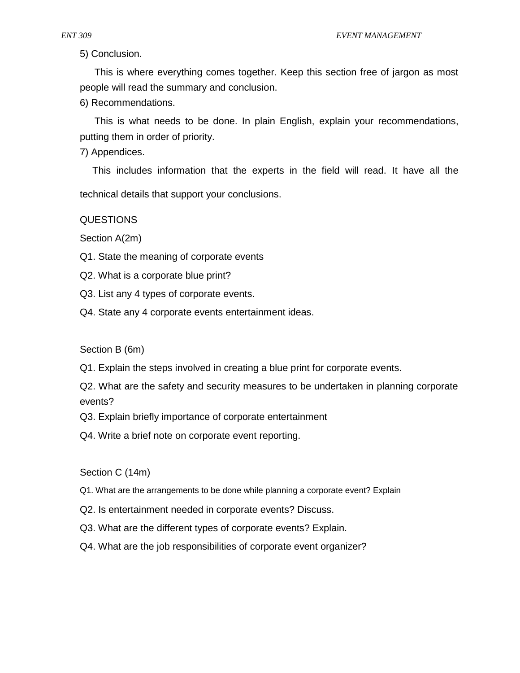5) Conclusion.

This is where everything comes together. Keep this section free of jargon as most people will read the summary and conclusion.

6) Recommendations.

This is what needs to be done. In plain English, explain your recommendations, putting them in order of priority.

7) Appendices.

This includes information that the experts in the field will read. It have all the

technical details that support your conclusions.

QUESTIONS

Section A(2m)

Q1. State the meaning of corporate events

Q2. What is a corporate blue print?

Q3. List any 4 types of corporate events.

Q4. State any 4 corporate events entertainment ideas.

Section B (6m)

Q1. Explain the steps involved in creating a blue print for corporate events.

Q2. What are the safety and security measures to be undertaken in planning corporate events?

Q3. Explain briefly importance of corporate entertainment

Q4. Write a brief note on corporate event reporting.

Section C (14m)

- Q1. What are the arrangements to be done while planning a corporate event? Explain
- Q2. Is entertainment needed in corporate events? Discuss.
- Q3. What are the different types of corporate events? Explain.
- Q4. What are the job responsibilities of corporate event organizer?